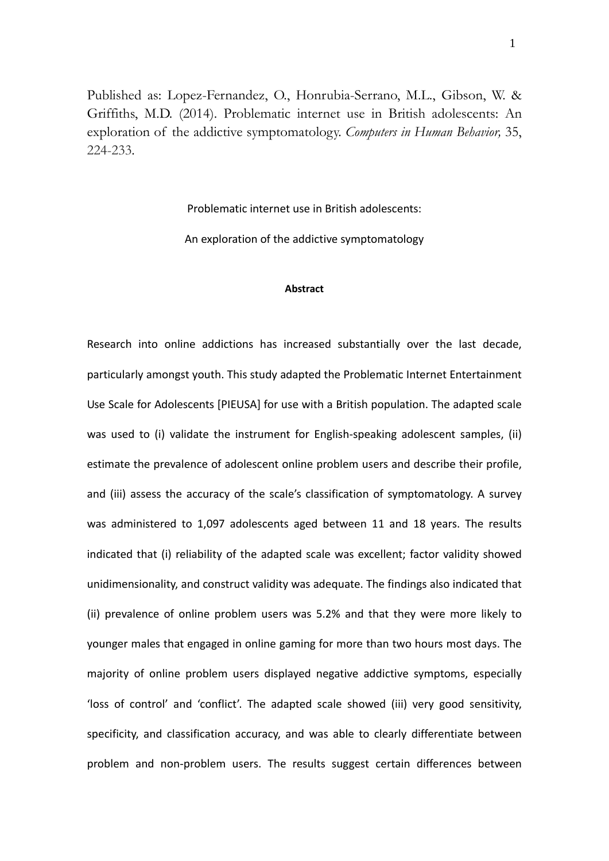Published as: Lopez-Fernandez, O., Honrubia-Serrano, M.L., Gibson, W. & Griffiths, M.D. (2014). Problematic internet use in British adolescents: An exploration of the addictive symptomatology. *Computers in Human Behavior,* 35, 224-233.

Problematic internet use in British adolescents:

An exploration of the addictive symptomatology

### **Abstract**

Research into online addictions has increased substantially over the last decade, particularly amongst youth. This study adapted the Problematic Internet Entertainment Use Scale for Adolescents [PIEUSA] for use with a British population. The adapted scale was used to (i) validate the instrument for English-speaking adolescent samples, (ii) estimate the prevalence of adolescent online problem users and describe their profile, and (iii) assess the accuracy of the scale's classification of symptomatology. A survey was administered to 1,097 adolescents aged between 11 and 18 years. The results indicated that (i) reliability of the adapted scale was excellent; factor validity showed unidimensionality, and construct validity was adequate. The findings also indicated that (ii) prevalence of online problem users was 5.2% and that they were more likely to younger males that engaged in online gaming for more than two hours most days. The majority of online problem users displayed negative addictive symptoms, especially 'loss of control' and 'conflict'. The adapted scale showed (iii) very good sensitivity, specificity, and classification accuracy, and was able to clearly differentiate between problem and non‐problem users. The results suggest certain differences between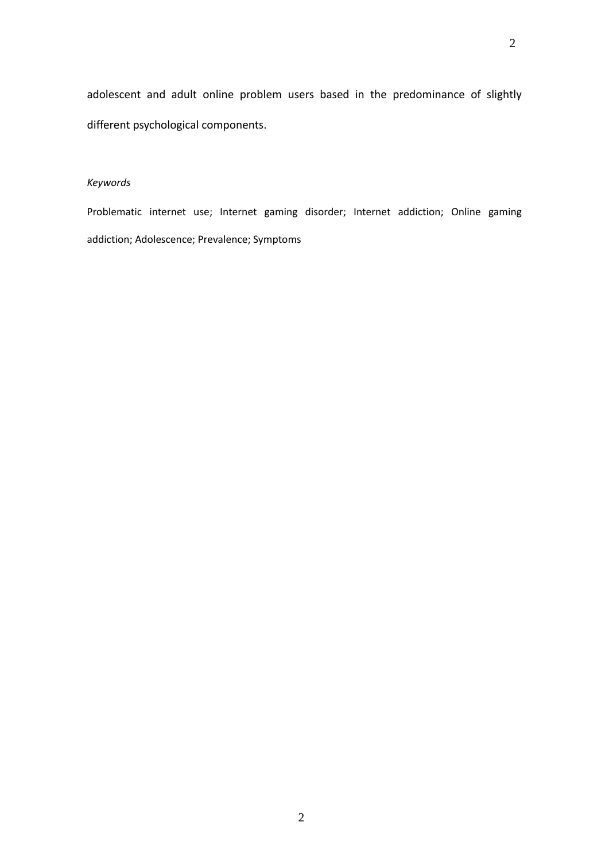# *Keywords*

Problematic internet use; Internet gaming disorder; Internet addiction; Online gaming addiction; Adolescence; Prevalence; Symptoms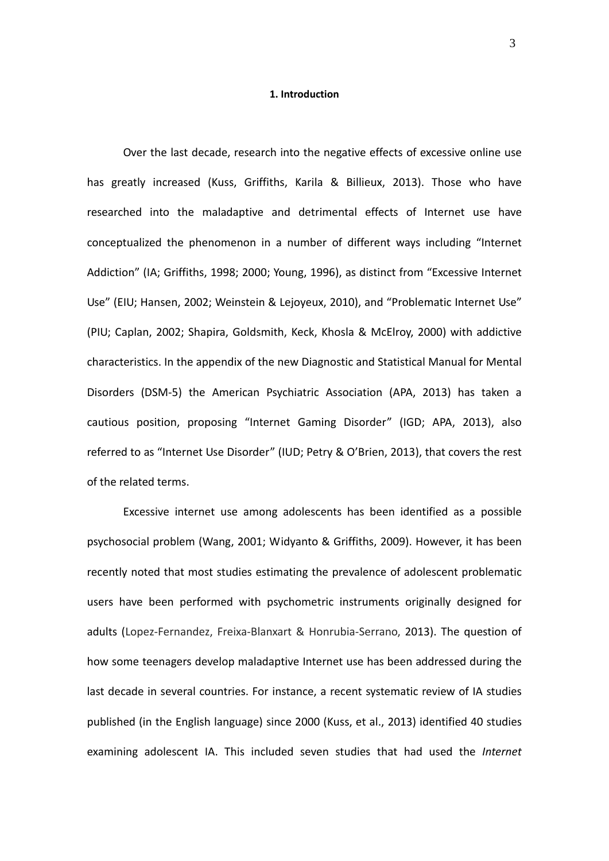#### **1. Introduction**

Over the last decade, research into the negative effects of excessive online use has greatly increased (Kuss, Griffiths, Karila & Billieux, 2013). Those who have researched into the maladaptive and detrimental effects of Internet use have conceptualized the phenomenon in a number of different ways including "Internet Addiction" (IA; Griffiths, 1998; 2000; Young, 1996), as distinct from "Excessive Internet Use" (EIU; Hansen, 2002; Weinstein & Lejoyeux, 2010), and "Problematic Internet Use" (PIU; Caplan, 2002; Shapira, Goldsmith, Keck, Khosla & McElroy, 2000) with addictive characteristics. In the appendix of the new Diagnostic and Statistical Manual for Mental Disorders (DSM‐5) the American Psychiatric Association (APA, 2013) has taken a cautious position, proposing "Internet Gaming Disorder" (IGD; APA, 2013), also referred to as "Internet Use Disorder" (IUD; Petry & O'Brien, 2013), that covers the rest of the related terms.

Excessive internet use among adolescents has been identified as a possible psychosocial problem (Wang, 2001; Widyanto & Griffiths, 2009). However, it has been recently noted that most studies estimating the prevalence of adolescent problematic users have been performed with psychometric instruments originally designed for adults (Lopez‐Fernandez, Freixa‐Blanxart & Honrubia‐Serrano, 2013). The question of how some teenagers develop maladaptive Internet use has been addressed during the last decade in several countries. For instance, a recent systematic review of IA studies published (in the English language) since 2000 (Kuss, et al., 2013) identified 40 studies examining adolescent IA. This included seven studies that had used the *Internet*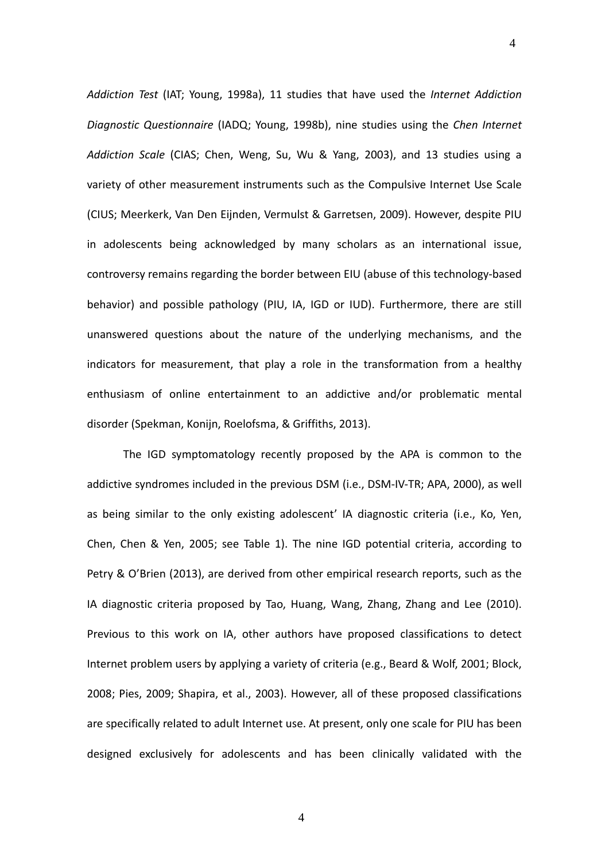*Addiction Test* (IAT; Young, 1998a), 11 studies that have used the *Internet Addiction Diagnostic Questionnaire* (IADQ; Young, 1998b), nine studies using the *Chen Internet Addiction Scale* (CIAS; Chen, Weng, Su, Wu & Yang, 2003), and 13 studies using a variety of other measurement instruments such as the Compulsive Internet Use Scale (CIUS; Meerkerk, Van Den Eijnden, Vermulst & Garretsen, 2009). However, despite PIU in adolescents being acknowledged by many scholars as an international issue, controversy remains regarding the border between EIU (abuse of this technology‐based behavior) and possible pathology (PIU, IA, IGD or IUD). Furthermore, there are still unanswered questions about the nature of the underlying mechanisms, and the indicators for measurement, that play a role in the transformation from a healthy enthusiasm of online entertainment to an addictive and/or problematic mental disorder (Spekman, Konijn, Roelofsma, & Griffiths, 2013).

4

The IGD symptomatology recently proposed by the APA is common to the addictive syndromes included in the previous DSM (i.e., DSM‐IV‐TR; APA, 2000), as well as being similar to the only existing adolescent' IA diagnostic criteria (i.e., Ko, Yen, Chen, Chen & Yen, 2005; see Table 1). The nine IGD potential criteria, according to Petry & O'Brien (2013), are derived from other empirical research reports, such as the IA diagnostic criteria proposed by Tao, Huang, Wang, Zhang, Zhang and Lee (2010). Previous to this work on IA, other authors have proposed classifications to detect Internet problem users by applying a variety of criteria (e.g., Beard & Wolf, 2001; Block, 2008; Pies, 2009; Shapira, et al., 2003). However, all of these proposed classifications are specifically related to adult Internet use. At present, only one scale for PIU has been designed exclusively for adolescents and has been clinically validated with the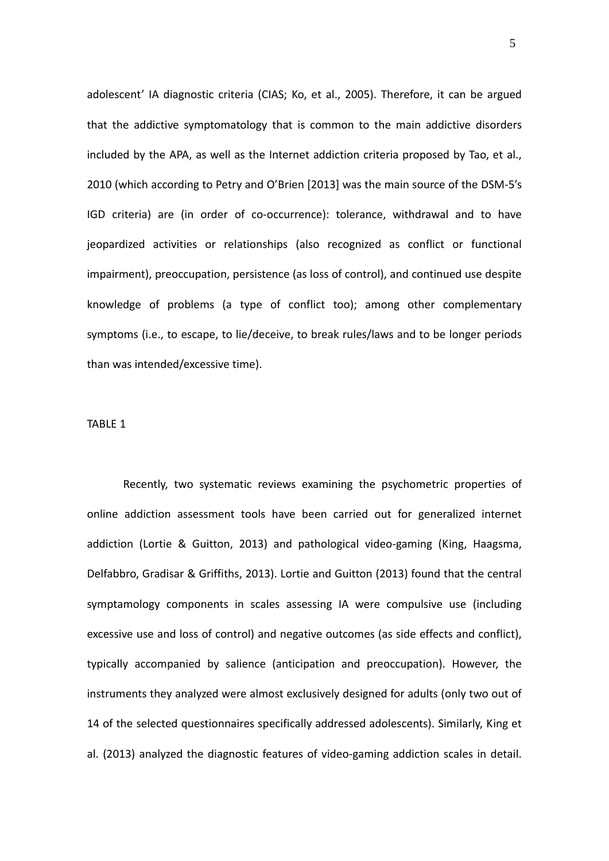adolescent' IA diagnostic criteria (CIAS; Ko, et al., 2005). Therefore, it can be argued that the addictive symptomatology that is common to the main addictive disorders included by the APA, as well as the Internet addiction criteria proposed by Tao, et al., 2010 (which according to Petry and O'Brien [2013] was the main source of the DSM‐5's IGD criteria) are (in order of co‐occurrence): tolerance, withdrawal and to have jeopardized activities or relationships (also recognized as conflict or functional impairment), preoccupation, persistence (as loss of control), and continued use despite knowledge of problems (a type of conflict too); among other complementary symptoms (i.e., to escape, to lie/deceive, to break rules/laws and to be longer periods than was intended/excessive time).

## TABLE 1

Recently, two systematic reviews examining the psychometric properties of online addiction assessment tools have been carried out for generalized internet addiction (Lortie & Guitton, 2013) and pathological video‐gaming (King, Haagsma, Delfabbro, Gradisar & Griffiths, 2013). Lortie and Guitton (2013) found that the central symptamology components in scales assessing IA were compulsive use (including excessive use and loss of control) and negative outcomes (as side effects and conflict), typically accompanied by salience (anticipation and preoccupation). However, the instruments they analyzed were almost exclusively designed for adults (only two out of 14 of the selected questionnaires specifically addressed adolescents). Similarly, King et al. (2013) analyzed the diagnostic features of video‐gaming addiction scales in detail.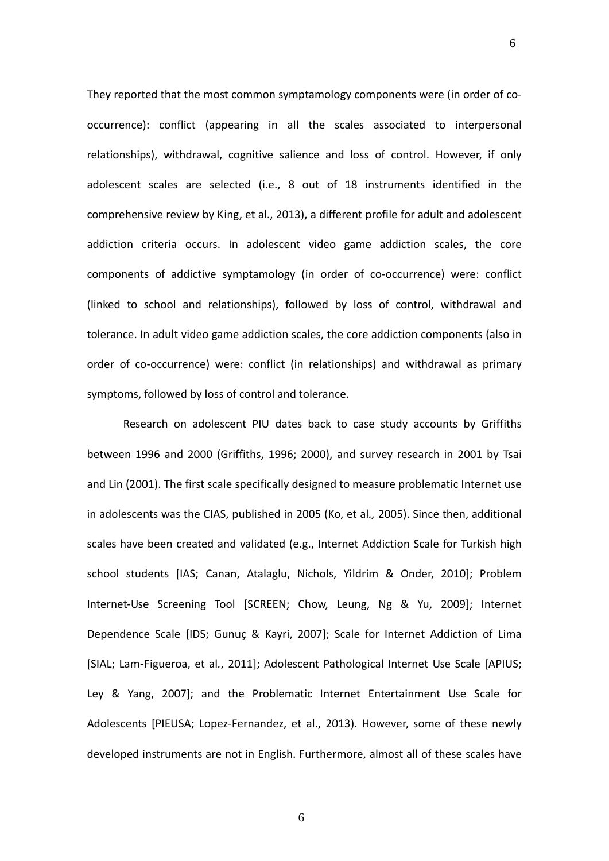They reported that the most common symptamology components were (in order of co‐ occurrence): conflict (appearing in all the scales associated to interpersonal relationships), withdrawal, cognitive salience and loss of control. However, if only adolescent scales are selected (i.e., 8 out of 18 instruments identified in the comprehensive review by King, et al., 2013), a different profile for adult and adolescent addiction criteria occurs. In adolescent video game addiction scales, the core components of addictive symptamology (in order of co‐occurrence) were: conflict (linked to school and relationships), followed by loss of control, withdrawal and tolerance. In adult video game addiction scales, the core addiction components (also in order of co‐occurrence) were: conflict (in relationships) and withdrawal as primary symptoms, followed by loss of control and tolerance.

6

Research on adolescent PIU dates back to case study accounts by Griffiths between 1996 and 2000 (Griffiths, 1996; 2000), and survey research in 2001 by Tsai and Lin (2001). The first scale specifically designed to measure problematic Internet use in adolescents was the CIAS, published in 2005 (Ko, et al*.,* 2005). Since then, additional scales have been created and validated (e.g., Internet Addiction Scale for Turkish high school students [IAS; Canan, Atalaglu, Nichols, Yildrim & Onder, 2010]; Problem Internet-Use Screening Tool [SCREEN; Chow, Leung, Ng & Yu, 2009]; Internet Dependence Scale [IDS; Gunuç & Kayri, 2007]; Scale for Internet Addiction of Lima [SIAL; Lam‐Figueroa, et al*.*, 2011]; Adolescent Pathological Internet Use Scale [APIUS; Ley & Yang, 2007]; and the Problematic Internet Entertainment Use Scale for Adolescents [PIEUSA; Lopez‐Fernandez, et al., 2013). However, some of these newly developed instruments are not in English. Furthermore, almost all of these scales have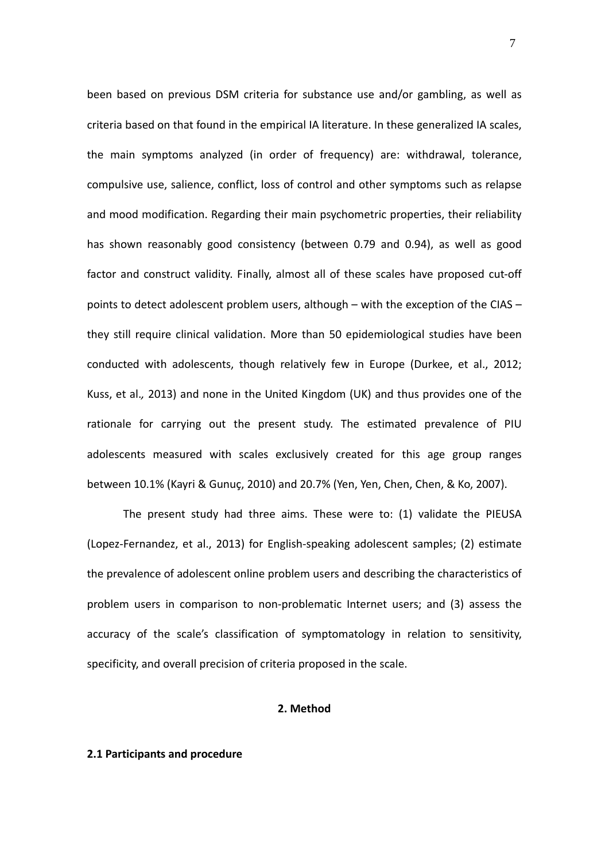been based on previous DSM criteria for substance use and/or gambling, as well as criteria based on that found in the empirical IA literature. In these generalized IA scales, the main symptoms analyzed (in order of frequency) are: withdrawal, tolerance, compulsive use, salience, conflict, loss of control and other symptoms such as relapse and mood modification. Regarding their main psychometric properties, their reliability has shown reasonably good consistency (between 0.79 and 0.94), as well as good factor and construct validity. Finally, almost all of these scales have proposed cut-off points to detect adolescent problem users, although – with the exception of the CIAS – they still require clinical validation. More than 50 epidemiological studies have been conducted with adolescents, though relatively few in Europe (Durkee, et al., 2012; Kuss, et al.*,* 2013) and none in the United Kingdom (UK) and thus provides one of the rationale for carrying out the present study. The estimated prevalence of PIU adolescents measured with scales exclusively created for this age group ranges between 10.1% (Kayri & Gunuç, 2010) and 20.7% (Yen, Yen, Chen, Chen, & Ko, 2007).

The present study had three aims. These were to: (1) validate the PIEUSA (Lopez‐Fernandez, et al., 2013) for English‐speaking adolescent samples; (2) estimate the prevalence of adolescent online problem users and describing the characteristics of problem users in comparison to non‐problematic Internet users; and (3) assess the accuracy of the scale's classification of symptomatology in relation to sensitivity, specificity, and overall precision of criteria proposed in the scale.

#### **2. Method**

#### **2.1 Participants and procedure**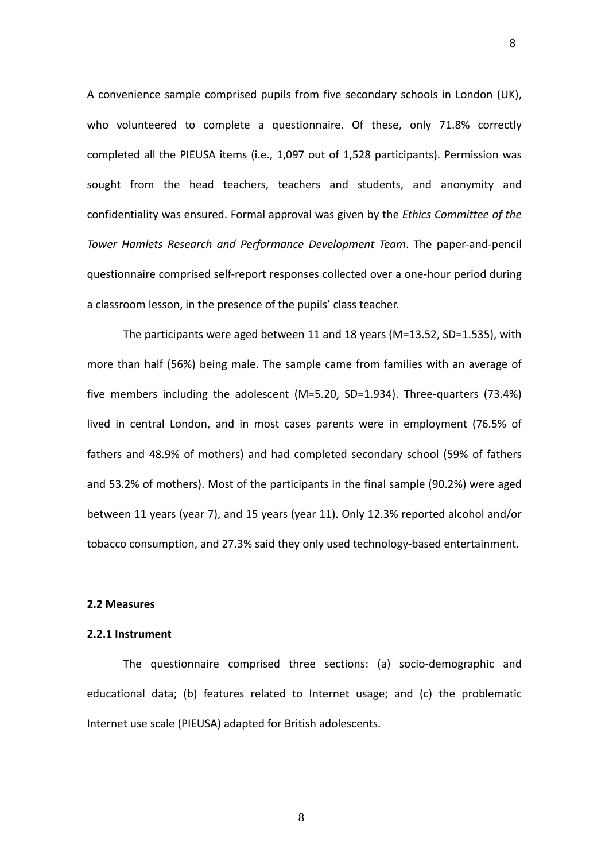A convenience sample comprised pupils from five secondary schools in London (UK), who volunteered to complete a questionnaire. Of these, only 71.8% correctly completed all the PIEUSA items (i.e., 1,097 out of 1,528 participants). Permission was sought from the head teachers, teachers and students, and anonymity and confidentiality was ensured. Formal approval was given by the *Ethics Committee of the Tower Hamlets Research and Performance Development Team*. The paper‐and‐pencil questionnaire comprised self‐report responses collected over a one‐hour period during a classroom lesson, in the presence of the pupils' class teacher.

8

The participants were aged between 11 and 18 years (M=13.52, SD=1.535), with more than half (56%) being male. The sample came from families with an average of five members including the adolescent (M=5.20, SD=1.934). Three-quarters (73.4%) lived in central London, and in most cases parents were in employment (76.5% of fathers and 48.9% of mothers) and had completed secondary school (59% of fathers and 53.2% of mothers). Most of the participants in the final sample (90.2%) were aged between 11 years (year 7), and 15 years (year 11). Only 12.3% reported alcohol and/or tobacco consumption, and 27.3% said they only used technology‐based entertainment.

# **2.2 Measures**

# **2.2.1 Instrument**

The questionnaire comprised three sections: (a) socio-demographic and educational data; (b) features related to Internet usage; and (c) the problematic Internet use scale (PIEUSA) adapted for British adolescents.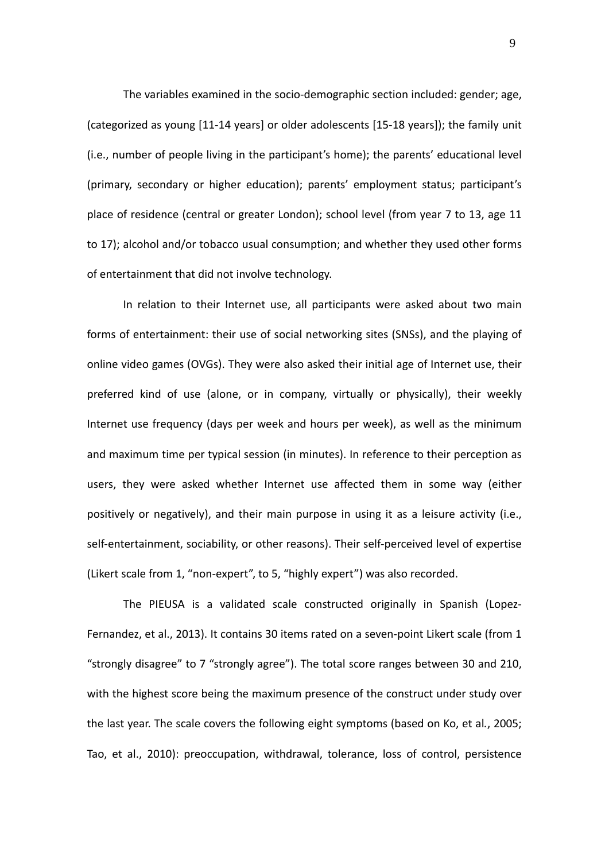The variables examined in the socio‐demographic section included: gender; age, (categorized as young [11‐14 years] or older adolescents [15‐18 years]); the family unit (i.e., number of people living in the participant's home); the parents' educational level (primary, secondary or higher education); parents' employment status; participant's place of residence (central or greater London); school level (from year 7 to 13, age 11 to 17); alcohol and/or tobacco usual consumption; and whether they used other forms of entertainment that did not involve technology.

In relation to their Internet use, all participants were asked about two main forms of entertainment: their use of social networking sites (SNSs), and the playing of online video games (OVGs). They were also asked their initial age of Internet use, their preferred kind of use (alone, or in company, virtually or physically), their weekly Internet use frequency (days per week and hours per week), as well as the minimum and maximum time per typical session (in minutes). In reference to their perception as users, they were asked whether Internet use affected them in some way (either positively or negatively), and their main purpose in using it as a leisure activity (i.e., self-entertainment, sociability, or other reasons). Their self-perceived level of expertise (Likert scale from 1, "non‐expert", to 5, "highly expert") was also recorded.

The PIEUSA is a validated scale constructed originally in Spanish (Lopez‐ Fernandez, et al., 2013). It contains 30 items rated on a seven‐point Likert scale (from 1 "strongly disagree" to 7 "strongly agree"). The total score ranges between 30 and 210, with the highest score being the maximum presence of the construct under study over the last year. The scale covers the following eight symptoms (based on Ko, et al*.*, 2005; Tao, et al., 2010): preoccupation, withdrawal, tolerance, loss of control, persistence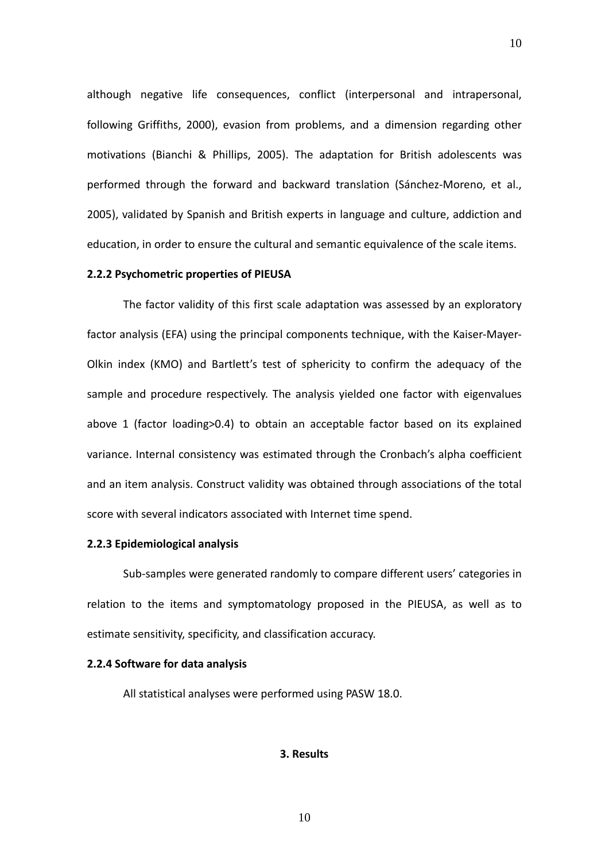although negative life consequences, conflict (interpersonal and intrapersonal, following Griffiths, 2000), evasion from problems, and a dimension regarding other motivations (Bianchi & Phillips, 2005). The adaptation for British adolescents was performed through the forward and backward translation (Sánchez‐Moreno, et al., 2005), validated by Spanish and British experts in language and culture, addiction and education, in order to ensure the cultural and semantic equivalence of the scale items.

10

# **2.2.2 Psychometric properties of PIEUSA**

The factor validity of this first scale adaptation was assessed by an exploratory factor analysis (EFA) using the principal components technique, with the Kaiser‐Mayer‐ Olkin index (KMO) and Bartlett's test of sphericity to confirm the adequacy of the sample and procedure respectively. The analysis yielded one factor with eigenvalues above 1 (factor loading>0.4) to obtain an acceptable factor based on its explained variance. Internal consistency was estimated through the Cronbach's alpha coefficient and an item analysis. Construct validity was obtained through associations of the total score with several indicators associated with Internet time spend.

# **2.2.3 Epidemiological analysis**

Sub‐samples were generated randomly to compare different users' categories in relation to the items and symptomatology proposed in the PIEUSA, as well as to estimate sensitivity, specificity, and classification accuracy.

#### **2.2.4 Software for data analysis**

All statistical analyses were performed using PASW 18.0.

#### **3. Results**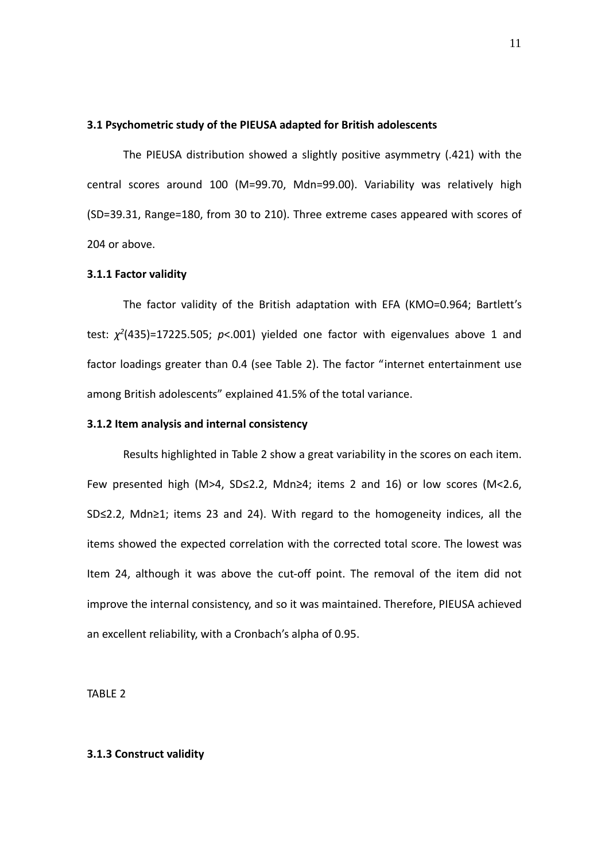### **3.1 Psychometric study of the PIEUSA adapted for British adolescents**

The PIEUSA distribution showed a slightly positive asymmetry (.421) with the central scores around 100 (M=99.70, Mdn=99.00). Variability was relatively high (SD=39.31, Range=180, from 30 to 210). Three extreme cases appeared with scores of 204 or above.

# **3.1.1 Factor validity**

The factor validity of the British adaptation with EFA (KMO=0.964; Bartlett's test:  $\chi^2$ (435)=17225.505;  $p$ <.001) yielded one factor with eigenvalues above 1 and factor loadings greater than 0.4 (see Table 2). The factor "internet entertainment use among British adolescents" explained 41.5% of the total variance.

#### **3.1.2 Item analysis and internal consistency**

Results highlighted in Table 2 show a great variability in the scores on each item. Few presented high (M>4, SD≤2.2, Mdn≥4; items 2 and 16) or low scores (M<2.6, SD≤2.2, Mdn≥1; items 23 and 24). With regard to the homogeneity indices, all the items showed the expected correlation with the corrected total score. The lowest was Item 24, although it was above the cut‐off point. The removal of the item did not improve the internal consistency, and so it was maintained. Therefore, PIEUSA achieved an excellent reliability, with a Cronbach's alpha of 0.95.

TABLE 2

## **3.1.3 Construct validity**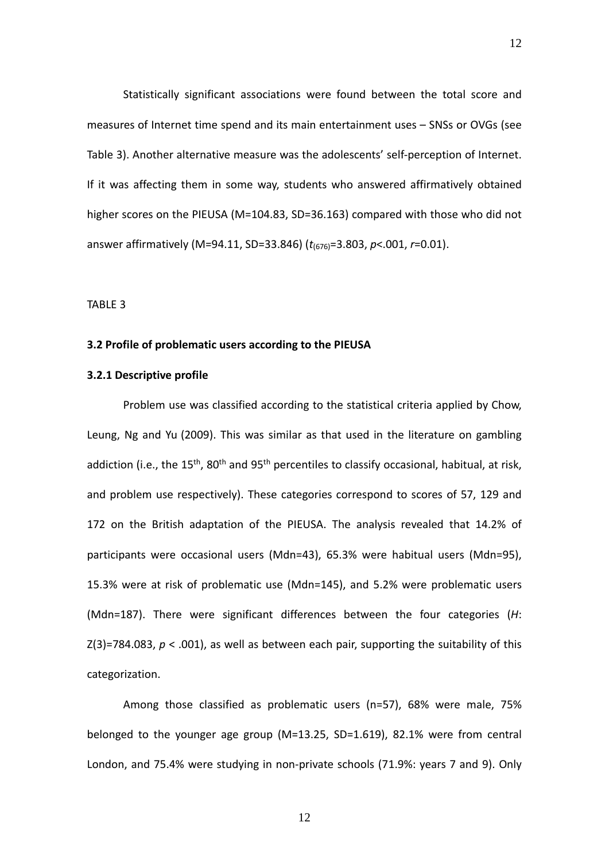Statistically significant associations were found between the total score and measures of Internet time spend and its main entertainment uses – SNSs or OVGs (see Table 3). Another alternative measure was the adolescents' self‐perception of Internet. If it was affecting them in some way, students who answered affirmatively obtained higher scores on the PIEUSA (M=104.83, SD=36.163) compared with those who did not answer affirmatively (M=94.11, SD=33.846) (*t*(676)=3.803, *p*<.001, *r*=0.01).

TABLE 3

### **3.2 Profile of problematic users according to the PIEUSA**

# **3.2.1 Descriptive profile**

Problem use was classified according to the statistical criteria applied by Chow, Leung, Ng and Yu (2009). This was similar as that used in the literature on gambling addiction (i.e., the 15<sup>th</sup>, 80<sup>th</sup> and 95<sup>th</sup> percentiles to classify occasional, habitual, at risk, and problem use respectively). These categories correspond to scores of 57, 129 and 172 on the British adaptation of the PIEUSA. The analysis revealed that 14.2% of participants were occasional users (Mdn=43), 65.3% were habitual users (Mdn=95), 15.3% were at risk of problematic use (Mdn=145), and 5.2% were problematic users (Mdn=187). There were significant differences between the four categories (*H*:  $Z(3)$ =784.083,  $p < .001$ ), as well as between each pair, supporting the suitability of this categorization.

Among those classified as problematic users (n=57), 68% were male, 75% belonged to the younger age group (M=13.25, SD=1.619), 82.1% were from central London, and 75.4% were studying in non‐private schools (71.9%: years 7 and 9). Only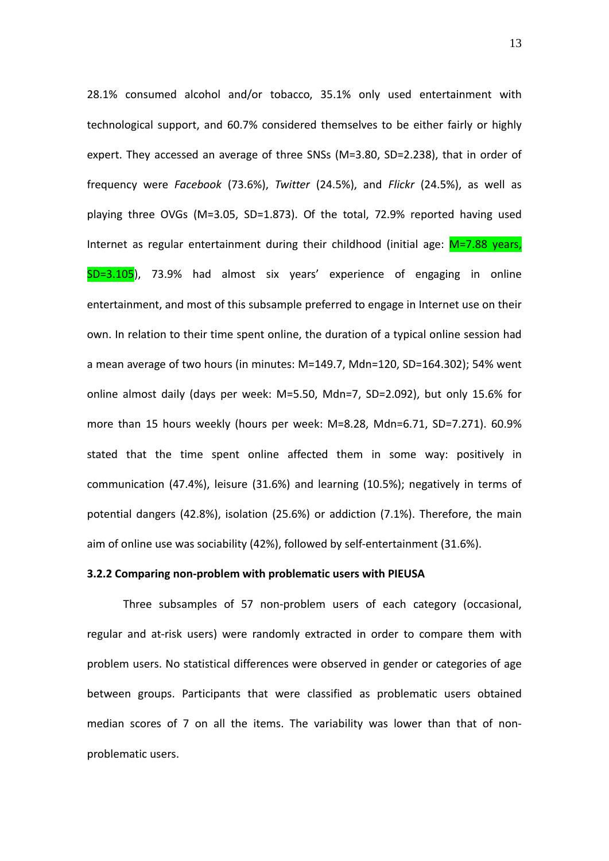28.1% consumed alcohol and/or tobacco, 35.1% only used entertainment with technological support, and 60.7% considered themselves to be either fairly or highly expert. They accessed an average of three SNSs (M=3.80, SD=2.238), that in order of frequency were *Facebook* (73.6%), *Twitter* (24.5%), and *Flickr* (24.5%), as well as playing three OVGs (M=3.05, SD=1.873). Of the total, 72.9% reported having used Internet as regular entertainment during their childhood (initial age:  $M=7.88$  years, SD=3.105), 73.9% had almost six years' experience of engaging in online entertainment, and most of this subsample preferred to engage in Internet use on their own. In relation to their time spent online, the duration of a typical online session had a mean average of two hours (in minutes: M=149.7, Mdn=120, SD=164.302); 54% went online almost daily (days per week: M=5.50, Mdn=7, SD=2.092), but only 15.6% for more than 15 hours weekly (hours per week: M=8.28, Mdn=6.71, SD=7.271). 60.9% stated that the time spent online affected them in some way: positively in communication (47.4%), leisure (31.6%) and learning (10.5%); negatively in terms of potential dangers (42.8%), isolation (25.6%) or addiction (7.1%). Therefore, the main aim of online use was sociability (42%), followed by self‐entertainment (31.6%).

#### **3.2.2 Comparing non‐problem with problematic users with PIEUSA**

Three subsamples of 57 non‐problem users of each category (occasional, regular and at-risk users) were randomly extracted in order to compare them with problem users. No statistical differences were observed in gender or categories of age between groups. Participants that were classified as problematic users obtained median scores of 7 on all the items. The variability was lower than that of non‐ problematic users.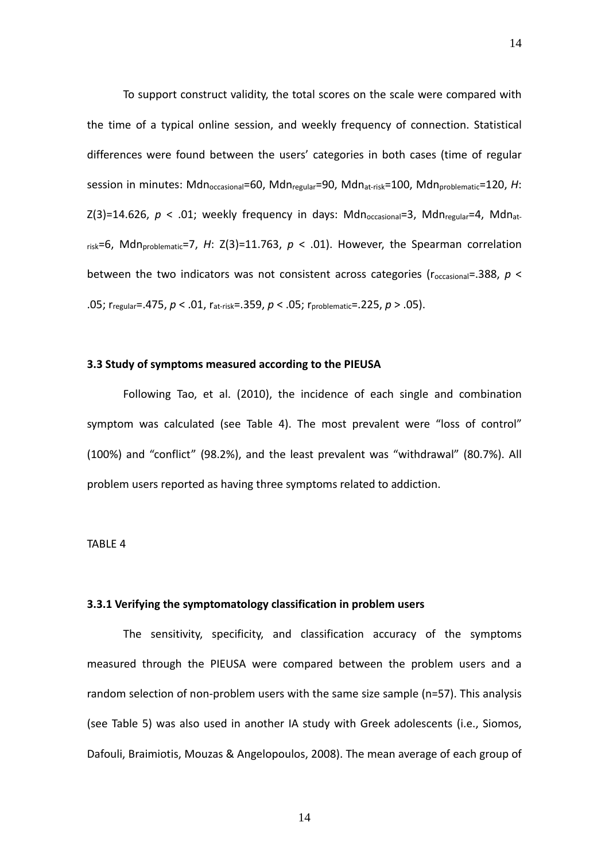To support construct validity, the total scores on the scale were compared with the time of a typical online session, and weekly frequency of connection. Statistical differences were found between the users' categories in both cases (time of regular session in minutes: Mdn<sub>occasional</sub>=60, Mdn<sub>regular</sub>=90, Mdn<sub>at-risk</sub>=100, Mdn<sub>problematic</sub>=120, H:  $Z(3)=14.626$ ,  $p < .01$ ; weekly frequency in days: Mdn<sub>occasional</sub>=3, Mdn<sub>regular</sub>=4, Mdn<sub>at</sub>  $r_{\text{risk}}=6$ , Mdn<sub>problematic</sub>=7, *H*: Z(3)=11.763,  $p < .01$ ). However, the Spearman correlation between the two indicators was not consistent across categories ( $r_{\text{occasional}} = .388$ ,  $p <$ .05; rregular=.475, *p* < .01, rat‐risk=.359, *p* < .05; rproblematic=.225, *p* > .05).

# **3.3 Study of symptoms measured according to the PIEUSA**

Following Tao, et al. (2010), the incidence of each single and combination symptom was calculated (see Table 4). The most prevalent were "loss of control" (100%) and "conflict" (98.2%), and the least prevalent was "withdrawal" (80.7%). All problem users reported as having three symptoms related to addiction.

# TABLE 4

# **3.3.1 Verifying the symptomatology classification in problem users**

The sensitivity, specificity, and classification accuracy of the symptoms measured through the PIEUSA were compared between the problem users and a random selection of non‐problem users with the same size sample (n=57). This analysis (see Table 5) was also used in another IA study with Greek adolescents (i.e., Siomos, Dafouli, Braimiotis, Mouzas & Angelopoulos, 2008). The mean average of each group of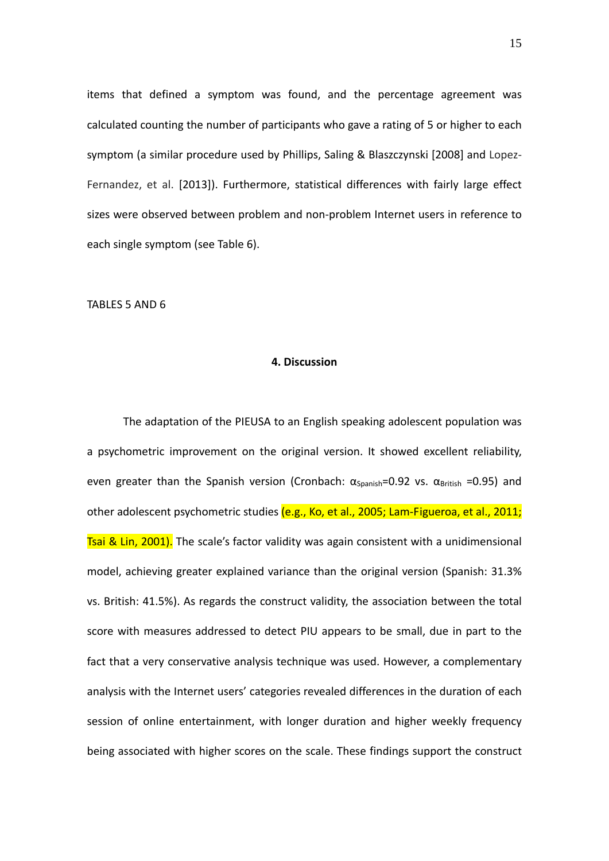items that defined a symptom was found, and the percentage agreement was calculated counting the number of participants who gave a rating of 5 or higher to each symptom (a similar procedure used by Phillips, Saling & Blaszczynski [2008] and Lopez‐ Fernandez, et al. [2013]). Furthermore, statistical differences with fairly large effect sizes were observed between problem and non‐problem Internet users in reference to each single symptom (see Table 6).

TABLES 5 AND 6

#### **4. Discussion**

The adaptation of the PIEUSA to an English speaking adolescent population was a psychometric improvement on the original version. It showed excellent reliability, even greater than the Spanish version (Cronbach:  $\alpha_{\text{Spanish}} = 0.92$  vs.  $\alpha_{\text{British}} = 0.95$ ) and other adolescent psychometric studies (e.g., Ko, et al., 2005; Lam-Figueroa, et al., 2011; Tsai & Lin, 2001). The scale's factor validity was again consistent with a unidimensional model, achieving greater explained variance than the original version (Spanish: 31.3% vs. British: 41.5%). As regards the construct validity, the association between the total score with measures addressed to detect PIU appears to be small, due in part to the fact that a very conservative analysis technique was used. However, a complementary analysis with the Internet users' categories revealed differences in the duration of each session of online entertainment, with longer duration and higher weekly frequency being associated with higher scores on the scale. These findings support the construct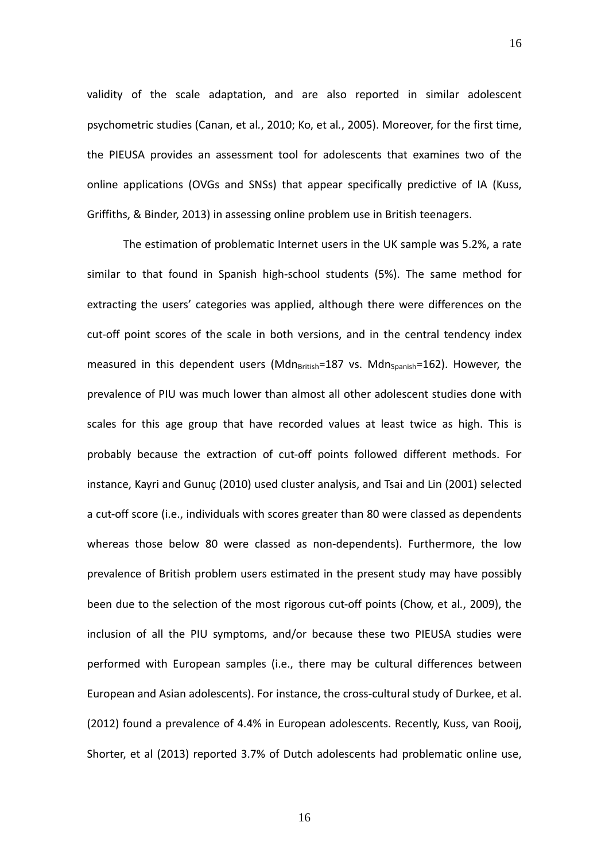validity of the scale adaptation, and are also reported in similar adolescent psychometric studies (Canan, et al*.*, 2010; Ko, et al*.*, 2005). Moreover, for the first time, the PIEUSA provides an assessment tool for adolescents that examines two of the online applications (OVGs and SNSs) that appear specifically predictive of IA (Kuss, Griffiths, & Binder, 2013) in assessing online problem use in British teenagers.

The estimation of problematic Internet users in the UK sample was 5.2%, a rate similar to that found in Spanish high‐school students (5%). The same method for extracting the users' categories was applied, although there were differences on the cut-off point scores of the scale in both versions, and in the central tendency index measured in this dependent users (Mdn $B_{\text{British}}=187$  vs. Mdn $_{\text{Spanish}}=162$ ). However, the prevalence of PIU was much lower than almost all other adolescent studies done with scales for this age group that have recorded values at least twice as high. This is probably because the extraction of cut‐off points followed different methods. For instance, Kayri and Gunuç (2010) used cluster analysis, and Tsai and Lin (2001) selected a cut‐off score (i.e., individuals with scores greater than 80 were classed as dependents whereas those below 80 were classed as non-dependents). Furthermore, the low prevalence of British problem users estimated in the present study may have possibly been due to the selection of the most rigorous cut‐off points (Chow, et al*.*, 2009), the inclusion of all the PIU symptoms, and/or because these two PIEUSA studies were performed with European samples (i.e., there may be cultural differences between European and Asian adolescents). For instance, the cross‐cultural study of Durkee, et al. (2012) found a prevalence of 4.4% in European adolescents. Recently, Kuss, van Rooij, Shorter, et al (2013) reported 3.7% of Dutch adolescents had problematic online use,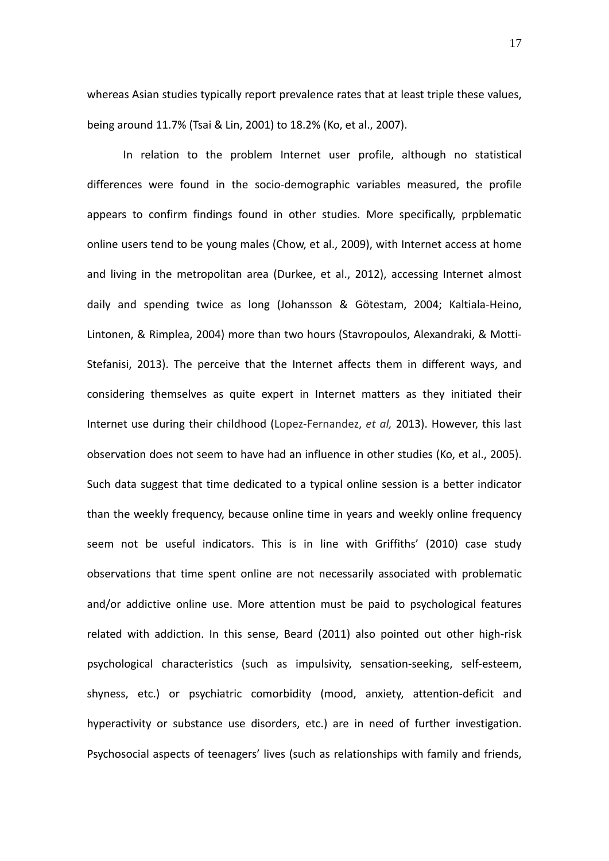whereas Asian studies typically report prevalence rates that at least triple these values, being around 11.7% (Tsai & Lin, 2001) to 18.2% (Ko, et al., 2007).

 In relation to the problem Internet user profile, although no statistical differences were found in the socio‐demographic variables measured, the profile appears to confirm findings found in other studies. More specifically, prpblematic online users tend to be young males (Chow, et al., 2009), with Internet access at home and living in the metropolitan area (Durkee, et al., 2012), accessing Internet almost daily and spending twice as long (Johansson & Götestam, 2004; Kaltiala‐Heino, Lintonen, & Rimplea, 2004) more than two hours (Stavropoulos, Alexandraki, & Motti‐ Stefanisi, 2013). The perceive that the Internet affects them in different ways, and considering themselves as quite expert in Internet matters as they initiated their Internet use during their childhood (Lopez‐Fernandez, *et al,* 2013). However, this last observation does not seem to have had an influence in other studies (Ko, et al., 2005). Such data suggest that time dedicated to a typical online session is a better indicator than the weekly frequency, because online time in years and weekly online frequency seem not be useful indicators. This is in line with Griffiths' (2010) case study observations that time spent online are not necessarily associated with problematic and/or addictive online use. More attention must be paid to psychological features related with addiction. In this sense, Beard (2011) also pointed out other high‐risk psychological characteristics (such as impulsivity, sensation‐seeking, self‐esteem, shyness, etc.) or psychiatric comorbidity (mood, anxiety, attention‐deficit and hyperactivity or substance use disorders, etc.) are in need of further investigation. Psychosocial aspects of teenagers' lives (such as relationships with family and friends,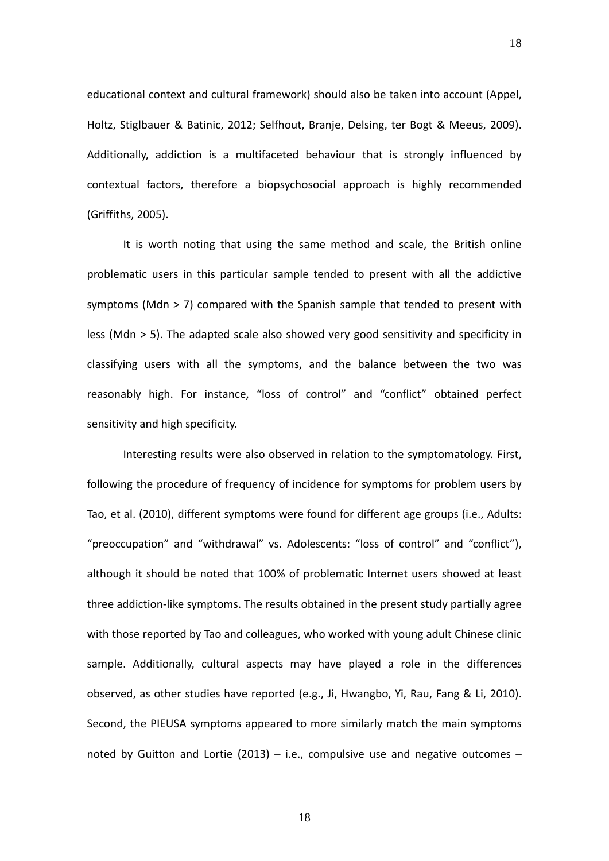educational context and cultural framework) should also be taken into account (Appel, Holtz, Stiglbauer & Batinic, 2012; Selfhout, Branje, Delsing, ter Bogt & Meeus, 2009). Additionally, addiction is a multifaceted behaviour that is strongly influenced by contextual factors, therefore a biopsychosocial approach is highly recommended (Griffiths, 2005).

It is worth noting that using the same method and scale, the British online problematic users in this particular sample tended to present with all the addictive symptoms (Mdn > 7) compared with the Spanish sample that tended to present with less (Mdn > 5). The adapted scale also showed very good sensitivity and specificity in classifying users with all the symptoms, and the balance between the two was reasonably high. For instance, "loss of control" and "conflict" obtained perfect sensitivity and high specificity.

Interesting results were also observed in relation to the symptomatology. First, following the procedure of frequency of incidence for symptoms for problem users by Tao, et al. (2010), different symptoms were found for different age groups (i.e., Adults: "preoccupation" and "withdrawal" vs. Adolescents: "loss of control" and "conflict"), although it should be noted that 100% of problematic Internet users showed at least three addiction‐like symptoms. The results obtained in the present study partially agree with those reported by Tao and colleagues, who worked with young adult Chinese clinic sample. Additionally, cultural aspects may have played a role in the differences observed, as other studies have reported (e.g., Ji, Hwangbo, Yi, Rau, Fang & Li, 2010). Second, the PIEUSA symptoms appeared to more similarly match the main symptoms noted by Guitton and Lortie (2013) – i.e., compulsive use and negative outcomes –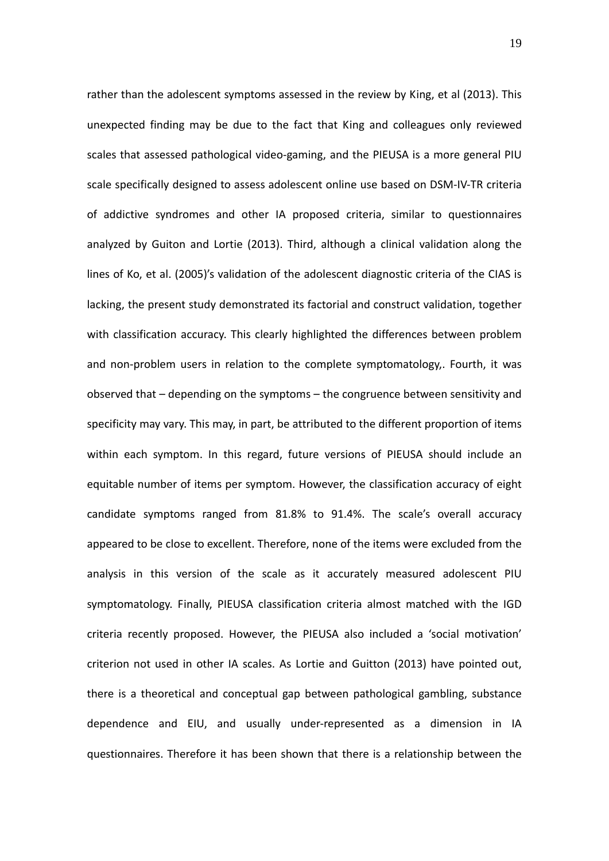rather than the adolescent symptoms assessed in the review by King, et al (2013). This unexpected finding may be due to the fact that King and colleagues only reviewed scales that assessed pathological video‐gaming, and the PIEUSA is a more general PIU scale specifically designed to assess adolescent online use based on DSM‐IV‐TR criteria of addictive syndromes and other IA proposed criteria, similar to questionnaires analyzed by Guiton and Lortie (2013). Third, although a clinical validation along the lines of Ko, et al. (2005)'s validation of the adolescent diagnostic criteria of the CIAS is lacking, the present study demonstrated its factorial and construct validation, together with classification accuracy. This clearly highlighted the differences between problem and non‐problem users in relation to the complete symptomatology,. Fourth, it was observed that – depending on the symptoms – the congruence between sensitivity and specificity may vary. This may, in part, be attributed to the different proportion of items within each symptom. In this regard, future versions of PIEUSA should include an equitable number of items per symptom. However, the classification accuracy of eight candidate symptoms ranged from 81.8% to 91.4%. The scale's overall accuracy appeared to be close to excellent. Therefore, none of the items were excluded from the analysis in this version of the scale as it accurately measured adolescent PIU symptomatology. Finally, PIEUSA classification criteria almost matched with the IGD criteria recently proposed. However, the PIEUSA also included a 'social motivation' criterion not used in other IA scales. As Lortie and Guitton (2013) have pointed out, there is a theoretical and conceptual gap between pathological gambling, substance dependence and EIU, and usually under‐represented as a dimension in IA questionnaires. Therefore it has been shown that there is a relationship between the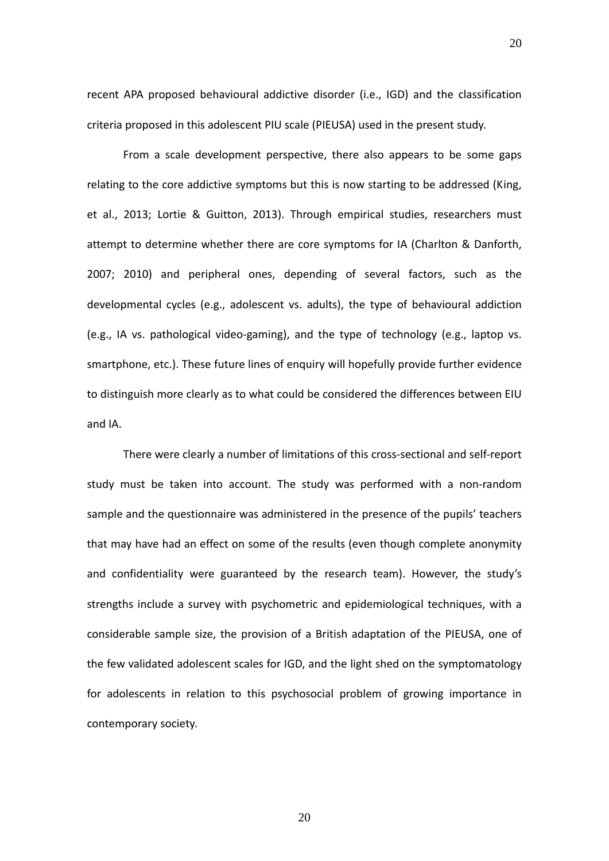recent APA proposed behavioural addictive disorder (i.e., IGD) and the classification criteria proposed in this adolescent PIU scale (PIEUSA) used in the present study.

20

From a scale development perspective, there also appears to be some gaps relating to the core addictive symptoms but this is now starting to be addressed (King, et al., 2013; Lortie & Guitton, 2013). Through empirical studies, researchers must attempt to determine whether there are core symptoms for IA (Charlton & Danforth, 2007; 2010) and peripheral ones, depending of several factors, such as the developmental cycles (e.g., adolescent vs. adults), the type of behavioural addiction (e.g., IA vs. pathological video‐gaming), and the type of technology (e.g., laptop vs. smartphone, etc.). These future lines of enquiry will hopefully provide further evidence to distinguish more clearly as to what could be considered the differences between EIU and IA.

There were clearly a number of limitations of this cross‐sectional and self‐report study must be taken into account. The study was performed with a non-random sample and the questionnaire was administered in the presence of the pupils' teachers that may have had an effect on some of the results (even though complete anonymity and confidentiality were guaranteed by the research team). However, the study's strengths include a survey with psychometric and epidemiological techniques, with a considerable sample size, the provision of a British adaptation of the PIEUSA, one of the few validated adolescent scales for IGD, and the light shed on the symptomatology for adolescents in relation to this psychosocial problem of growing importance in contemporary society.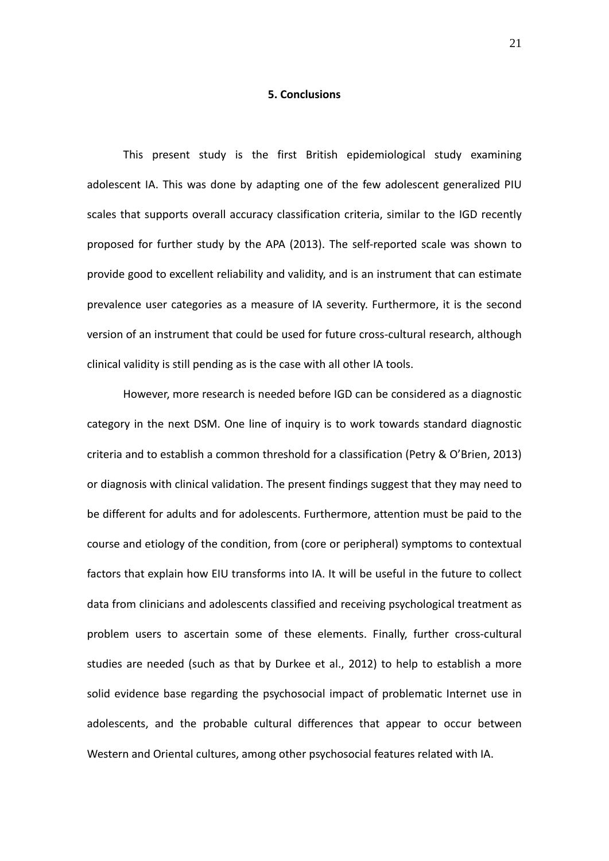#### **5. Conclusions**

This present study is the first British epidemiological study examining adolescent IA. This was done by adapting one of the few adolescent generalized PIU scales that supports overall accuracy classification criteria, similar to the IGD recently proposed for further study by the APA (2013). The self‐reported scale was shown to provide good to excellent reliability and validity, and is an instrument that can estimate prevalence user categories as a measure of IA severity. Furthermore, it is the second version of an instrument that could be used for future cross‐cultural research, although clinical validity is still pending as is the case with all other IA tools.

However, more research is needed before IGD can be considered as a diagnostic category in the next DSM. One line of inquiry is to work towards standard diagnostic criteria and to establish a common threshold for a classification (Petry & O'Brien, 2013) or diagnosis with clinical validation. The present findings suggest that they may need to be different for adults and for adolescents. Furthermore, attention must be paid to the course and etiology of the condition, from (core or peripheral) symptoms to contextual factors that explain how EIU transforms into IA. It will be useful in the future to collect data from clinicians and adolescents classified and receiving psychological treatment as problem users to ascertain some of these elements. Finally, further cross-cultural studies are needed (such as that by Durkee et al., 2012) to help to establish a more solid evidence base regarding the psychosocial impact of problematic Internet use in adolescents, and the probable cultural differences that appear to occur between Western and Oriental cultures, among other psychosocial features related with IA.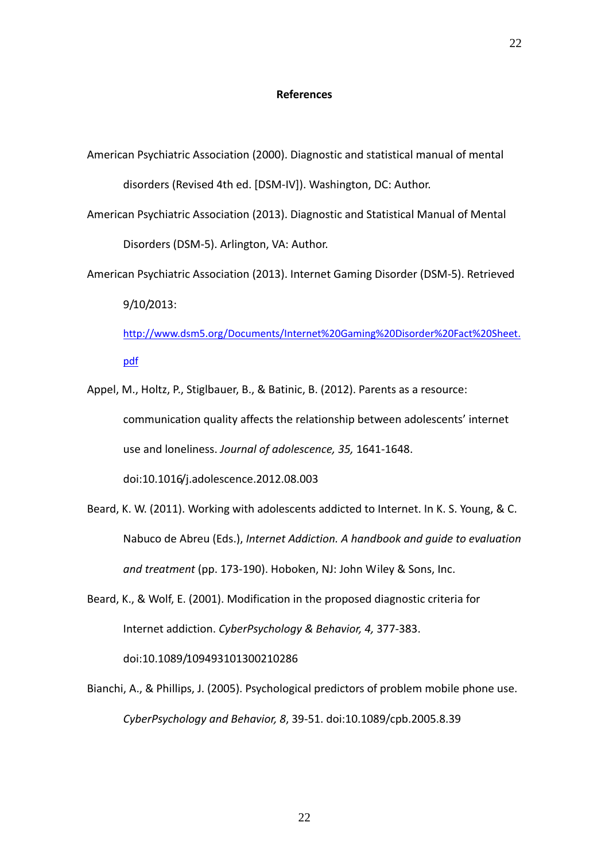#### **References**

- American Psychiatric Association (2000). Diagnostic and statistical manual of mental disorders (Revised 4th ed. [DSM‐IV]). Washington, DC: Author.
- American Psychiatric Association (2013). Diagnostic and Statistical Manual of Mental Disorders (DSM‐5). Arlington, VA: Author.
- American Psychiatric Association (2013). Internet Gaming Disorder (DSM‐5). Retrieved 9/10/2013:

http://www.dsm5.org/Documents/Internet%20Gaming%20Disorder%20Fact%20Sheet. pdf

- Appel, M., Holtz, P., Stiglbauer, B., & Batinic, B. (2012). Parents as a resource: communication quality affects the relationship between adolescents' internet use and loneliness. *Journal of adolescence, 35,* 1641‐1648. doi:10.1016/j.adolescence.2012.08.003
- Beard, K. W. (2011). Working with adolescents addicted to Internet. In K. S. Young, & C. Nabuco de Abreu (Eds.), *Internet Addiction. A handbook and guide to evaluation and treatment* (pp. 173‐190). Hoboken, NJ: John Wiley & Sons, Inc.
- Beard, K., & Wolf, E. (2001). Modification in the proposed diagnostic criteria for Internet addiction. *CyberPsychology & Behavior, 4,* 377‐383. doi:10.1089/109493101300210286
- Bianchi, A., & Phillips, J. (2005). Psychological predictors of problem mobile phone use. *CyberPsychology and Behavior, 8*, 39‐51. doi:10.1089/cpb.2005.8.39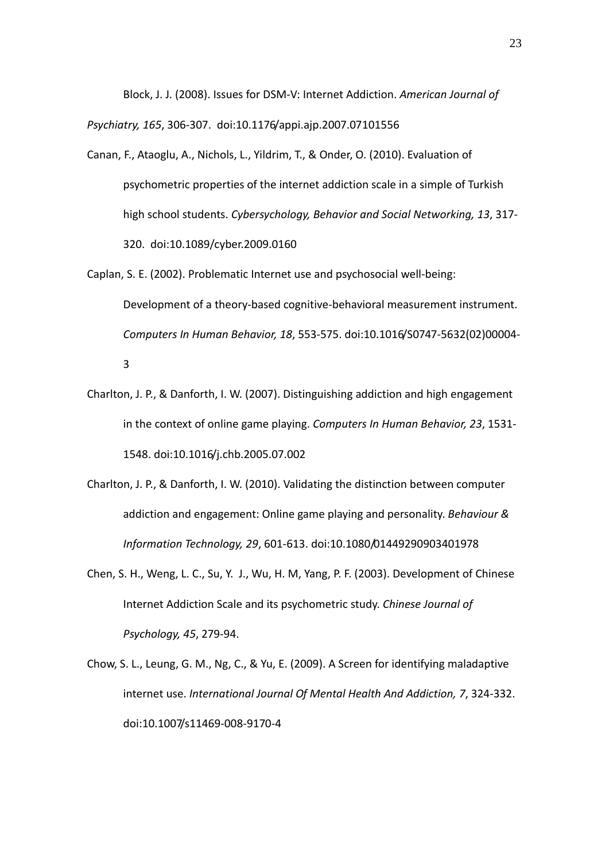Block, J. J. (2008). Issues for DSM‐V: Internet Addiction. *American Journal of*

*Psychiatry, 165*, 306‐307. doi:10.1176/appi.ajp.2007.07101556

- Canan, F., Ataoglu, A., Nichols, L., Yildrim, T., & Onder, O. (2010). Evaluation of psychometric properties of the internet addiction scale in a simple of Turkish high school students. *Cybersychology, Behavior and Social Networking, 13*, 317‐ 320. doi:10.1089/cyber.2009.0160
- Caplan, S. E. (2002). Problematic Internet use and psychosocial well‐being: Development of a theory-based cognitive-behavioral measurement instrument. *Computers In Human Behavior, 18*, 553‐575. doi:10.1016/S0747‐5632(02)00004‐ 3
- Charlton, J. P., & Danforth, I. W. (2007). Distinguishing addiction and high engagement in the context of online game playing. *Computers In Human Behavior, 23*, 1531‐ 1548. doi:10.1016/j.chb.2005.07.002
- Charlton, J. P., & Danforth, I. W. (2010). Validating the distinction between computer addiction and engagement: Online game playing and personality. *Behaviour & Information Technology, 29*, 601‐613. doi:10.1080/01449290903401978
- Chen, S. H., Weng, L. C., Su, Y. J., Wu, H. M, Yang, P. F. (2003). Development of Chinese Internet Addiction Scale and its psychometric study. *Chinese Journal of Psychology, 45*, 279‐94.
- Chow, S. L., Leung, G. M., Ng, C., & Yu, E. (2009). A Screen for identifying maladaptive internet use. *International Journal Of Mental Health And Addiction, 7*, 324‐332. doi:10.1007/s11469‐008‐9170‐4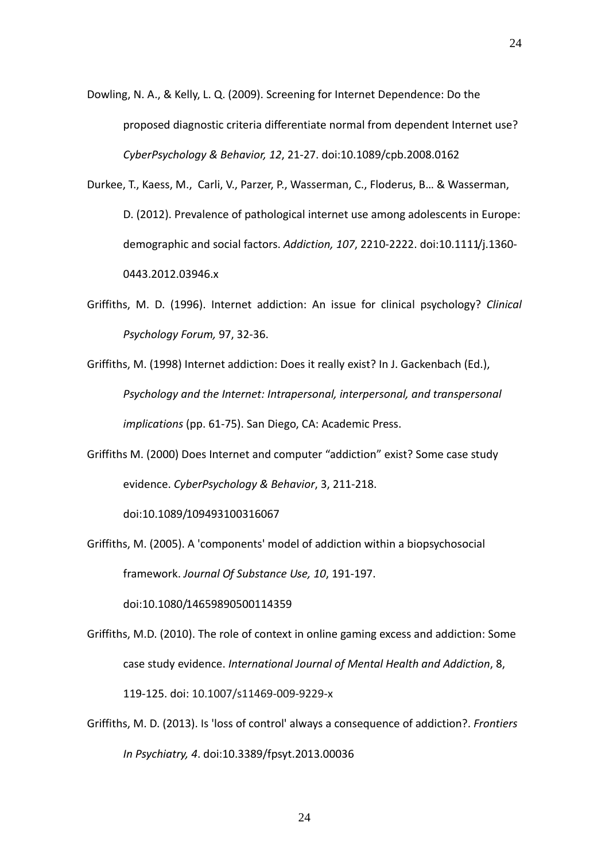- Dowling, N. A., & Kelly, L. Q. (2009). Screening for Internet Dependence: Do the proposed diagnostic criteria differentiate normal from dependent Internet use? *CyberPsychology & Behavior, 12*, 21‐27. doi:10.1089/cpb.2008.0162
- Durkee, T., Kaess, M., Carli, V., Parzer, P., Wasserman, C., Floderus, B… & Wasserman, D. (2012). Prevalence of pathological internet use among adolescents in Europe: demographic and social factors. *Addiction, 107*, 2210‐2222. doi:10.1111/j.1360‐ 0443.2012.03946.x
- Griffiths, M. D. (1996). Internet addiction: An issue for clinical psychology? *Clinical Psychology Forum,* 97, 32‐36.
- Griffiths, M. (1998) Internet addiction: Does it really exist? In J. Gackenbach (Ed.), *Psychology and the Internet: Intrapersonal, interpersonal, and transpersonal implications* (pp. 61‐75). San Diego, CA: Academic Press.
- Griffiths M. (2000) Does Internet and computer "addiction" exist? Some case study evidence. *CyberPsychology & Behavior*, 3, 211‐218.

doi:10.1089/109493100316067

Griffiths, M. (2005). A 'components' model of addiction within a biopsychosocial framework. *Journal Of Substance Use, 10*, 191‐197.

doi:10.1080/14659890500114359

- Griffiths, M.D. (2010). The role of context in online gaming excess and addiction: Some case study evidence. *International Journal of Mental Health and Addiction*, 8, 119‐125. doi: 10.1007/s11469‐009‐9229‐x
- Griffiths, M. D. (2013). Is 'loss of control' always a consequence of addiction?. *Frontiers In Psychiatry, 4*. doi:10.3389/fpsyt.2013.00036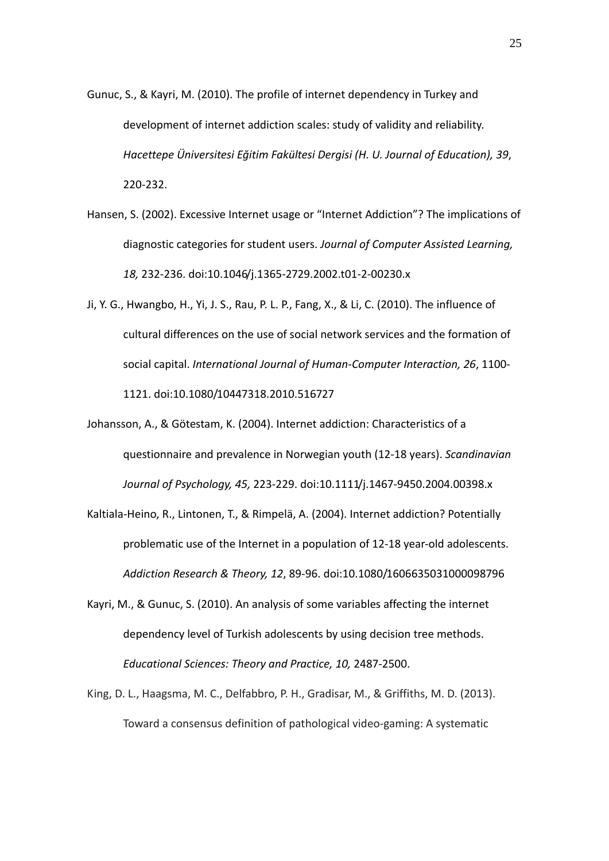- Gunuc, S., & Kayri, M. (2010). The profile of internet dependency in Turkey and development of internet addiction scales: study of validity and reliability. *Hacettepe Üniversitesi Eğitim Fakültesi Dergisi (H. U. Journal of Education), 39*, 220‐232.
- Hansen, S. (2002). Excessive Internet usage or "Internet Addiction"? The implications of diagnostic categories for student users. *Journal of Computer Assisted Learning, 18,* 232‐236. doi:10.1046/j.1365‐2729.2002.t01‐2‐00230.x
- Ji, Y. G., Hwangbo, H., Yi, J. S., Rau, P. L. P., Fang, X., & Li, C. (2010). The influence of cultural differences on the use of social network services and the formation of social capital. *International Journal of Human‐Computer Interaction, 26*, 1100‐ 1121. doi:10.1080/10447318.2010.516727
- Johansson, A., & Götestam, K. (2004). Internet addiction: Characteristics of a questionnaire and prevalence in Norwegian youth (12‐18 years). *Scandinavian Journal of Psychology, 45,* 223‐229. doi:10.1111/j.1467‐9450.2004.00398.x
- Kaltiala‐Heino, R., Lintonen, T., & Rimpelä, A. (2004). Internet addiction? Potentially problematic use of the Internet in a population of 12‐18 year‐old adolescents. *Addiction Research & Theory, 12*, 89‐96. doi:10.1080/1606635031000098796
- Kayri, M., & Gunuc, S. (2010). An analysis of some variables affecting the internet dependency level of Turkish adolescents by using decision tree methods. *Educational Sciences: Theory and Practice, 10,* 2487‐2500.
- King, D. L., Haagsma, M. C., Delfabbro, P. H., Gradisar, M., & Griffiths, M. D. (2013). Toward a consensus definition of pathological video‐gaming: A systematic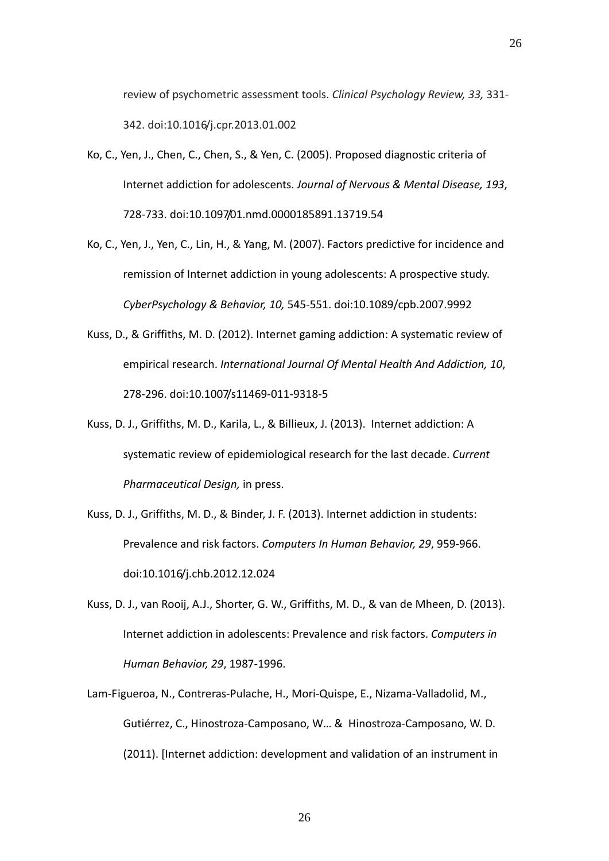review of psychometric assessment tools. *Clinical Psychology Review, 33,* 331‐ 342. doi:10.1016/j.cpr.2013.01.002

- Ko, C., Yen, J., Chen, C., Chen, S., & Yen, C. (2005). Proposed diagnostic criteria of Internet addiction for adolescents. *Journal of Nervous & Mental Disease, 193*, 728‐733. doi:10.1097/01.nmd.0000185891.13719.54
- Ko, C., Yen, J., Yen, C., Lin, H., & Yang, M. (2007). Factors predictive for incidence and remission of Internet addiction in young adolescents: A prospective study. *CyberPsychology & Behavior, 10,* 545‐551. doi:10.1089/cpb.2007.9992
- Kuss, D., & Griffiths, M. D. (2012). Internet gaming addiction: A systematic review of empirical research. *International Journal Of Mental Health And Addiction, 10*, 278‐296. doi:10.1007/s11469‐011‐9318‐5
- Kuss, D. J., Griffiths, M. D., Karila, L., & Billieux, J. (2013). Internet addiction: A systematic review of epidemiological research for the last decade. *Current Pharmaceutical Design,* in press.
- Kuss, D. J., Griffiths, M. D., & Binder, J. F. (2013). Internet addiction in students: Prevalence and risk factors. *Computers In Human Behavior, 29*, 959‐966. doi:10.1016/j.chb.2012.12.024
- Kuss, D. J., van Rooij, A.J., Shorter, G. W., Griffiths, M. D., & van de Mheen, D. (2013). Internet addiction in adolescents: Prevalence and risk factors. *Computers in Human Behavior, 29*, 1987‐1996.
- Lam‐Figueroa, N., Contreras‐Pulache, H., Mori‐Quispe, E., Nizama‐Valladolid, M., Gutiérrez, C., Hinostroza‐Camposano, W… & Hinostroza‐Camposano, W. D. (2011). [Internet addiction: development and validation of an instrument in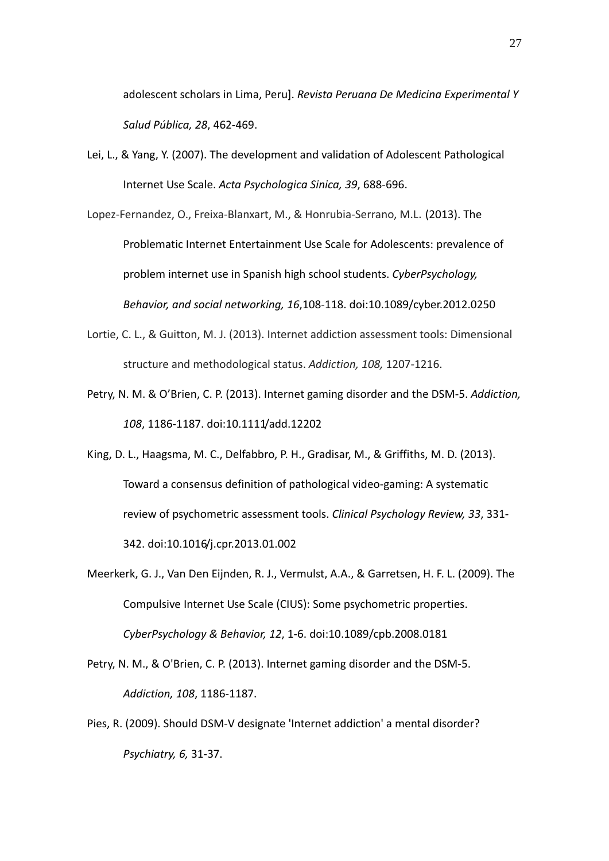adolescent scholars in Lima, Peru]. *Revista Peruana De Medicina Experimental Y Salud Pública, 28*, 462‐469.

Lei, L., & Yang, Y. (2007). The development and validation of Adolescent Pathological Internet Use Scale. *Acta Psychologica Sinica, 39*, 688‐696.

Lopez‐Fernandez, O., Freixa‐Blanxart, M., & Honrubia‐Serrano, M.L. (2013). The Problematic Internet Entertainment Use Scale for Adolescents: prevalence of problem internet use in Spanish high school students. *CyberPsychology, Behavior, and social networking, 16*,108‐118. doi:10.1089/cyber.2012.0250

- Lortie, C. L., & Guitton, M. J. (2013). Internet addiction assessment tools: Dimensional structure and methodological status. *Addiction, 108,* 1207‐1216.
- Petry, N. M. & O'Brien, C. P. (2013). Internet gaming disorder and the DSM‐5. *Addiction, 108*, 1186‐1187. doi:10.1111/add.12202

King, D. L., Haagsma, M. C., Delfabbro, P. H., Gradisar, M., & Griffiths, M. D. (2013). Toward a consensus definition of pathological video‐gaming: A systematic review of psychometric assessment tools. *Clinical Psychology Review, 33*, 331‐ 342. doi:10.1016/j.cpr.2013.01.002

Meerkerk, G. J., Van Den Eijnden, R. J., Vermulst, A.A., & Garretsen, H. F. L. (2009). The Compulsive Internet Use Scale (CIUS): Some psychometric properties. *CyberPsychology & Behavior, 12*, 1‐6. doi:10.1089/cpb.2008.0181

Petry, N. M., & O'Brien, C. P. (2013). Internet gaming disorder and the DSM‐5. *Addiction, 108*, 1186‐1187.

Pies, R. (2009). Should DSM‐V designate 'Internet addiction' a mental disorder? *Psychiatry, 6,* 31‐37.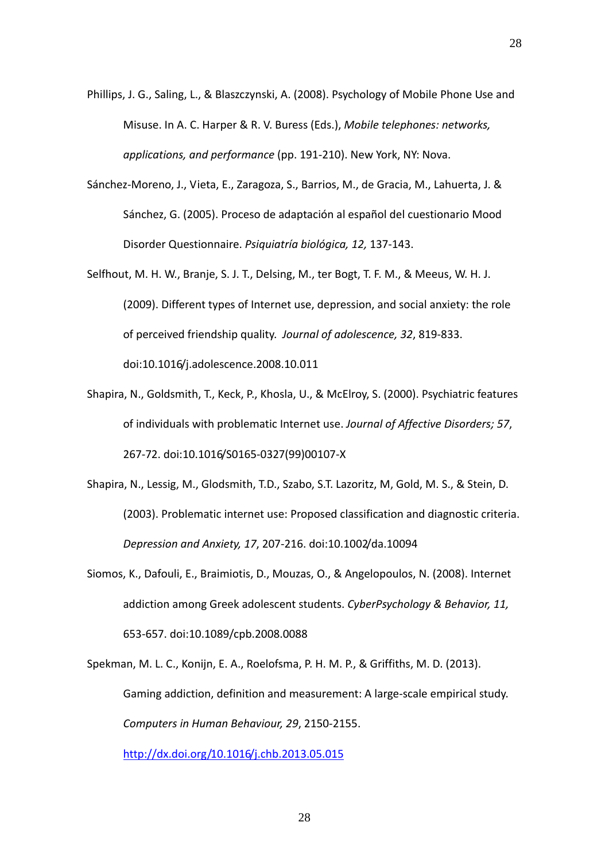- Phillips, J. G., Saling, L., & Blaszczynski, A. (2008). Psychology of Mobile Phone Use and Misuse. In A. C. Harper & R. V. Buress (Eds.), *Mobile telephones: networks, applications, and performance* (pp. 191‐210). New York, NY: Nova.
- Sánchez‐Moreno, J., Vieta, E., Zaragoza, S., Barrios, M., de Gracia, M., Lahuerta, J. & Sánchez, G. (2005). Proceso de adaptación al español del cuestionario Mood Disorder Questionnaire. *Psiquiatría biológica, 12,* 137‐143.
- Selfhout, M. H. W., Branje, S. J. T., Delsing, M., ter Bogt, T. F. M., & Meeus, W. H. J. (2009). Different types of Internet use, depression, and social anxiety: the role of perceived friendship quality. *Journal of adolescence, 32*, 819‐833. doi:10.1016/j.adolescence.2008.10.011
- Shapira, N., Goldsmith, T., Keck, P., Khosla, U., & McElroy, S. (2000). Psychiatric features of individuals with problematic Internet use. *Journal of Affective Disorders; 57*, 267‐72. doi:10.1016/S0165‐0327(99)00107‐X
- Shapira, N., Lessig, M., Glodsmith, T.D., Szabo, S.T. Lazoritz, M, Gold, M. S., & Stein, D. (2003). Problematic internet use: Proposed classification and diagnostic criteria. *Depression and Anxiety, 17*, 207‐216. doi:10.1002/da.10094
- Siomos, K., Dafouli, E., Braimiotis, D., Mouzas, O., & Angelopoulos, N. (2008). Internet addiction among Greek adolescent students. *CyberPsychology & Behavior, 11,* 653‐657. doi:10.1089/cpb.2008.0088

Spekman, M. L. C., Konijn, E. A., Roelofsma, P. H. M. P., & Griffiths, M. D. (2013). Gaming addiction, definition and measurement: A large‐scale empirical study. *Computers in Human Behaviour, 29*, 2150‐2155.

http://dx.doi.org/10.1016/j.chb.2013.05.015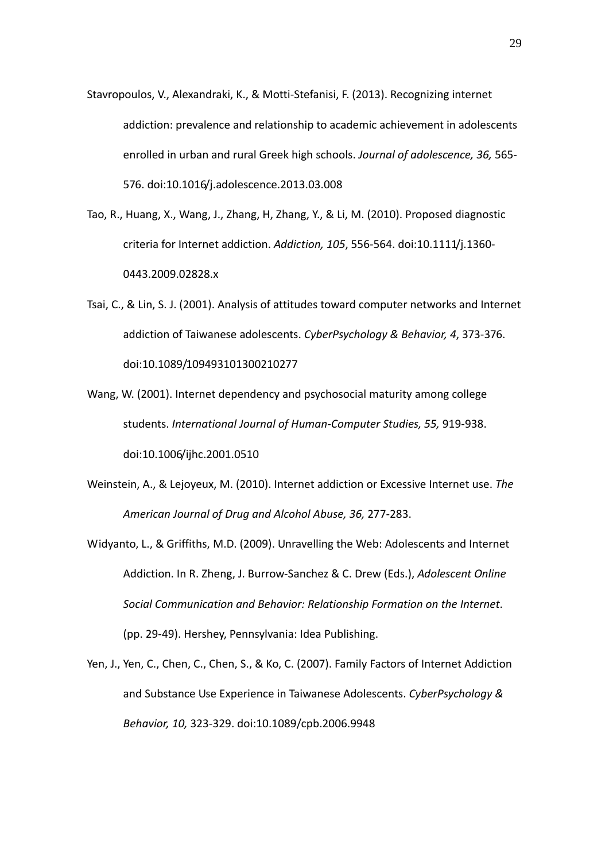- Stavropoulos, V., Alexandraki, K., & Motti‐Stefanisi, F. (2013). Recognizing internet addiction: prevalence and relationship to academic achievement in adolescents enrolled in urban and rural Greek high schools. *Journal of adolescence, 36,* 565‐ 576. doi:10.1016/j.adolescence.2013.03.008
- Tao, R., Huang, X., Wang, J., Zhang, H, Zhang, Y., & Li, M. (2010). Proposed diagnostic criteria for Internet addiction. *Addiction, 105*, 556‐564. doi:10.1111/j.1360‐ 0443.2009.02828.x
- Tsai, C., & Lin, S. J. (2001). Analysis of attitudes toward computer networks and Internet addiction of Taiwanese adolescents. *CyberPsychology & Behavior, 4*, 373‐376. doi:10.1089/109493101300210277
- Wang, W. (2001). Internet dependency and psychosocial maturity among college students. *International Journal of Human‐Computer Studies, 55,* 919‐938. doi:10.1006/ijhc.2001.0510
- Weinstein, A., & Lejoyeux, M. (2010). Internet addiction or Excessive Internet use. *The American Journal of Drug and Alcohol Abuse, 36,* 277‐283.
- Widyanto, L., & Griffiths, M.D. (2009). Unravelling the Web: Adolescents and Internet Addiction. In R. Zheng, J. Burrow‐Sanchez & C. Drew (Eds.), *Adolescent Online Social Communication and Behavior: Relationship Formation on the Internet*. (pp. 29‐49). Hershey, Pennsylvania: Idea Publishing.
- Yen, J., Yen, C., Chen, C., Chen, S., & Ko, C. (2007). Family Factors of Internet Addiction and Substance Use Experience in Taiwanese Adolescents. *CyberPsychology & Behavior, 10,* 323‐329. doi:10.1089/cpb.2006.9948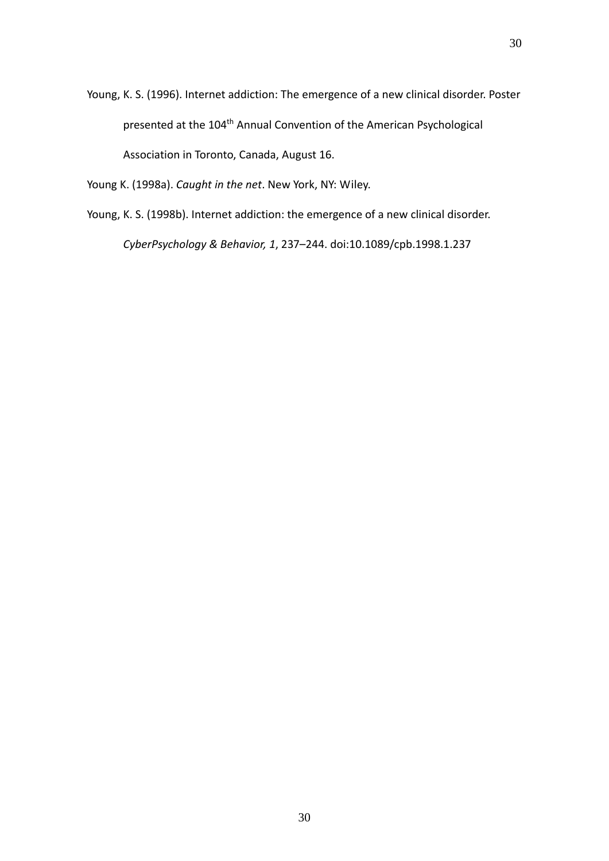Young, K. S. (1996). Internet addiction: The emergence of a new clinical disorder. Poster presented at the 104<sup>th</sup> Annual Convention of the American Psychological Association in Toronto, Canada, August 16.

Young K. (1998a). *Caught in the net*. New York, NY: Wiley.

Young, K. S. (1998b). Internet addiction: the emergence of a new clinical disorder. *CyberPsychology & Behavior, 1*, 237–244. doi:10.1089/cpb.1998.1.237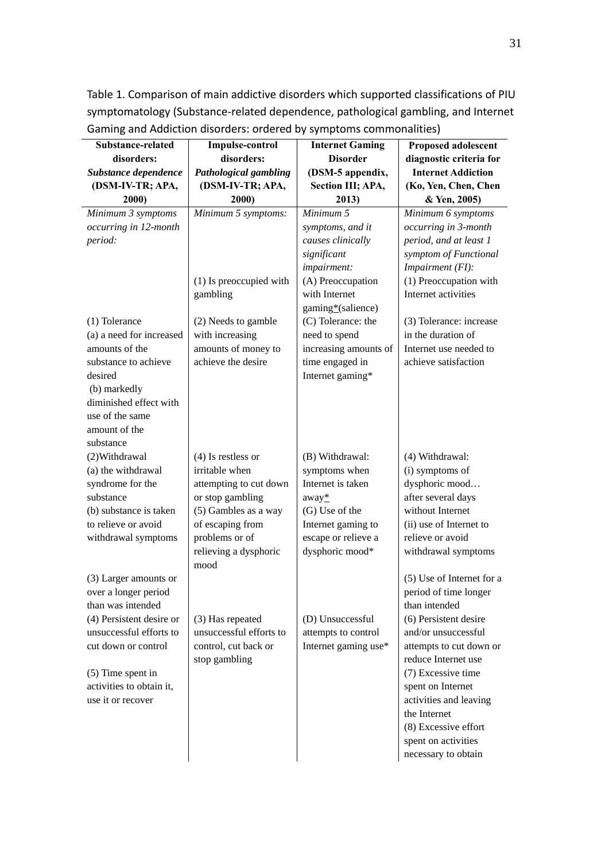Table 1. Comparison of main addictive disorders which supported classifications of PIU symptomatology (Substance‐related dependence, pathological gambling, and Internet Gaming and Addiction disorders: ordered by symptoms commonalities)

| Substance-related                             | <b>Impulse-control</b>       | <b>Internet Gaming</b> | <b>Proposed adolescent</b>             |
|-----------------------------------------------|------------------------------|------------------------|----------------------------------------|
| disorders:                                    | disorders:                   | <b>Disorder</b>        | diagnostic criteria for                |
| Substance dependence                          | <b>Pathological gambling</b> | (DSM-5 appendix,       | <b>Internet Addiction</b>              |
| (DSM-IV-TR; APA,                              | (DSM-IV-TR; APA,             | Section III; APA,      | (Ko, Yen, Chen, Chen                   |
| 2000)                                         | 2000)                        | 2013)                  | & Yen, 2005)                           |
| Minimum 3 symptoms                            | Minimum 5 symptoms:          | Minimum 5              | Minimum 6 symptoms                     |
| occurring in 12-month                         |                              | symptoms, and it       | occurring in 3-month                   |
| period:                                       |                              | causes clinically      | period, and at least 1                 |
|                                               |                              | significant            | symptom of Functional                  |
|                                               |                              | impairment:            | Impairment (FI):                       |
|                                               | (1) Is preoccupied with      | (A) Preoccupation      | (1) Preoccupation with                 |
|                                               | gambling                     | with Internet          | Internet activities                    |
|                                               |                              | gaming*(salience)      |                                        |
| (1) Tolerance                                 | (2) Needs to gamble          | (C) Tolerance: the     | (3) Tolerance: increase                |
| (a) a need for increased                      | with increasing              | need to spend          | in the duration of                     |
| amounts of the                                | amounts of money to          | increasing amounts of  | Internet use needed to                 |
| substance to achieve                          | achieve the desire           | time engaged in        | achieve satisfaction                   |
| desired                                       |                              | Internet gaming*       |                                        |
| (b) markedly                                  |                              |                        |                                        |
| diminished effect with                        |                              |                        |                                        |
| use of the same                               |                              |                        |                                        |
| amount of the                                 |                              |                        |                                        |
| substance                                     |                              |                        |                                        |
| (2) Withdrawal                                | $(4)$ Is restless or         | (B) Withdrawal:        | (4) Withdrawal:                        |
| (a) the withdrawal                            | irritable when               | symptoms when          | (i) symptoms of                        |
| syndrome for the                              | attempting to cut down       | Internet is taken      | dysphoric mood                         |
| substance                                     | or stop gambling             | $away^*$               | after several days                     |
| (b) substance is taken                        | (5) Gambles as a way         | (G) Use of the         | without Internet                       |
| to relieve or avoid                           | of escaping from             | Internet gaming to     | (ii) use of Internet to                |
| withdrawal symptoms                           | problems or of               | escape or relieve a    | relieve or avoid                       |
|                                               | relieving a dysphoric        | dysphoric mood*        | withdrawal symptoms                    |
|                                               | mood                         |                        |                                        |
| (3) Larger amounts or                         |                              |                        | (5) Use of Internet for a              |
| over a longer period                          |                              |                        | period of time longer                  |
| than was intended                             |                              |                        | than intended                          |
| (4) Persistent desire or                      | (3) Has repeated             | (D) Unsuccessful       | (6) Persistent desire                  |
| unsuccessful efforts to                       | unsuccessful efforts to      | attempts to control    | and/or unsuccessful                    |
| cut down or control                           | control, cut back or         | Internet gaming use*   | attempts to cut down or                |
|                                               | stop gambling                |                        | reduce Internet use                    |
| $(5)$ Time spent in                           |                              |                        | (7) Excessive time                     |
| activities to obtain it,<br>use it or recover |                              |                        | spent on Internet                      |
|                                               |                              |                        | activities and leaving<br>the Internet |
|                                               |                              |                        | (8) Excessive effort                   |
|                                               |                              |                        |                                        |
|                                               |                              |                        | spent on activities                    |
|                                               |                              |                        | necessary to obtain                    |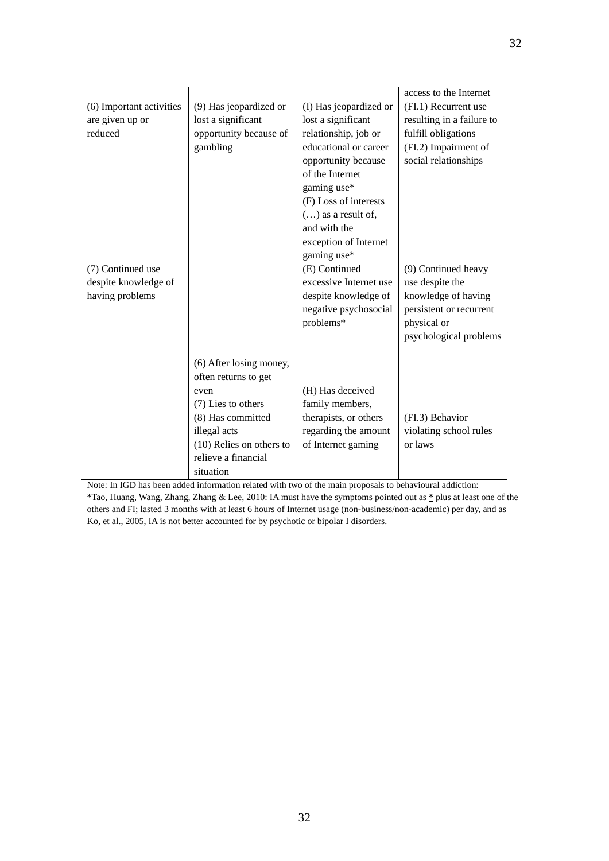| (6) Important activities<br>are given up or<br>reduced<br>(7) Continued use<br>despite knowledge of<br>having problems | (9) Has jeopardized or<br>lost a significant<br>opportunity because of<br>gambling                                                                                                 | (I) Has jeopardized or<br>lost a significant<br>relationship, job or<br>educational or career<br>opportunity because<br>of the Internet<br>gaming use*<br>(F) Loss of interests<br>$()$ as a result of,<br>and with the<br>exception of Internet<br>gaming use*<br>(E) Continued<br>excessive Internet use<br>despite knowledge of<br>negative psychosocial<br>problems* | access to the Internet<br>(FI.1) Recurrent use<br>resulting in a failure to<br>fulfill obligations<br>(FI.2) Impairment of<br>social relationships<br>(9) Continued heavy<br>use despite the<br>knowledge of having<br>persistent or recurrent<br>physical or<br>psychological problems |
|------------------------------------------------------------------------------------------------------------------------|------------------------------------------------------------------------------------------------------------------------------------------------------------------------------------|--------------------------------------------------------------------------------------------------------------------------------------------------------------------------------------------------------------------------------------------------------------------------------------------------------------------------------------------------------------------------|-----------------------------------------------------------------------------------------------------------------------------------------------------------------------------------------------------------------------------------------------------------------------------------------|
|                                                                                                                        | (6) After losing money,<br>often returns to get<br>even<br>(7) Lies to others<br>(8) Has committed<br>illegal acts<br>(10) Relies on others to<br>relieve a financial<br>situation | (H) Has deceived<br>family members,<br>therapists, or others<br>regarding the amount<br>of Internet gaming                                                                                                                                                                                                                                                               | (FI.3) Behavior<br>violating school rules<br>or laws                                                                                                                                                                                                                                    |

Note: In IGD has been added information related with two of the main proposals to behavioural addiction: \*Tao, Huang, Wang, Zhang, Zhang & Lee, 2010: IA must have the symptoms pointed out as \* plus at least one of the others and FI; lasted 3 months with at least 6 hours of Internet usage (non-business/non-academic) per day, and as

Ko, et al., 2005, IA is not better accounted for by psychotic or bipolar I disorders.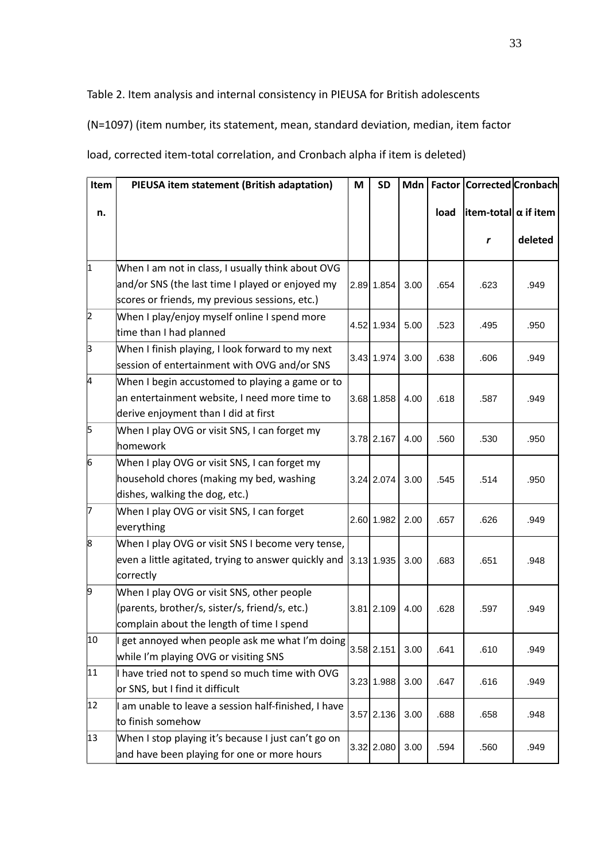Table 2. Item analysis and internal consistency in PIEUSA for British adolescents

(N=1097) (item number, its statement, mean, standard deviation, median, item factor

load, corrected item-total correlation, and Cronbach alpha if item is deleted)

| Item      | PIEUSA item statement (British adaptation)           | M | <b>SD</b>    | Mdn  |      | <b>Factor Corrected Cronbach</b>    |         |
|-----------|------------------------------------------------------|---|--------------|------|------|-------------------------------------|---------|
| n.        |                                                      |   |              |      | load | $ $ item-total $  \alpha  $ if item |         |
|           |                                                      |   |              |      |      | r                                   | deleted |
| $\vert$ 1 | When I am not in class, I usually think about OVG    |   |              |      |      |                                     |         |
|           | and/or SNS (the last time I played or enjoyed my     |   | 2.89 1.854   | 3.00 | .654 | .623                                | .949    |
|           | scores or friends, my previous sessions, etc.)       |   |              |      |      |                                     |         |
| 2         | When I play/enjoy myself online I spend more         |   |              |      |      |                                     |         |
|           | time than I had planned                              |   | 4.52 1.934   | 5.00 | .523 | .495                                | .950    |
| þЗ        | When I finish playing, I look forward to my next     |   |              |      |      |                                     |         |
|           | session of entertainment with OVG and/or SNS         |   | 3.43 1.974   | 3.00 | .638 | .606                                | .949    |
| 4         | When I begin accustomed to playing a game or to      |   |              |      |      |                                     |         |
|           | an entertainment website, I need more time to        |   | 3.68 1.858   | 4.00 | .618 | .587                                | .949    |
|           | derive enjoyment than I did at first                 |   |              |      |      |                                     |         |
| 5         | When I play OVG or visit SNS, I can forget my        |   |              |      |      |                                     |         |
|           | homework                                             |   | 3.78 2.167   | 4.00 | .560 | .530                                | .950    |
| 6         | When I play OVG or visit SNS, I can forget my        |   |              |      |      |                                     |         |
|           | household chores (making my bed, washing             |   | 3.24 2.074   | 3.00 | .545 | .514                                | .950    |
|           | dishes, walking the dog, etc.)                       |   |              |      |      |                                     |         |
| 7         | When I play OVG or visit SNS, I can forget           |   |              |      |      |                                     |         |
|           | everything                                           |   | 2.60 1.982   | 2.00 | .657 | .626                                | .949    |
| 8         | When I play OVG or visit SNS I become very tense,    |   |              |      |      |                                     |         |
|           | even a little agitated, trying to answer quickly and |   | 3.13 1.935   | 3.00 | .683 | .651                                | .948    |
|           | correctly                                            |   |              |      |      |                                     |         |
| 9         | When I play OVG or visit SNS, other people           |   |              |      |      |                                     |         |
|           | (parents, brother/s, sister/s, friend/s, etc.)       |   | 3.81 2.109   | 4.00 | .628 | .597                                | .949    |
|           | complain about the length of time I spend            |   |              |      |      |                                     |         |
| 10        | I get annoyed when people ask me what I'm doing      |   |              |      |      |                                     |         |
|           | while I'm playing OVG or visiting SNS                |   | $3.58$ 2.151 | 3.00 | .641 | .610                                | .949    |
| 11        | I have tried not to spend so much time with OVG      |   |              |      |      |                                     |         |
|           | or SNS, but I find it difficult                      |   | 3.23 1.988   | 3.00 | .647 | .616                                | .949    |
| 12        | am unable to leave a session half-finished, I have   |   |              |      |      |                                     |         |
|           | to finish somehow                                    |   | 3.57 2.136   | 3.00 | .688 | .658                                | .948    |
| 13        | When I stop playing it's because I just can't go on  |   |              |      |      |                                     |         |
|           | and have been playing for one or more hours          |   | 3.32 2.080   | 3.00 | .594 | .560                                | .949    |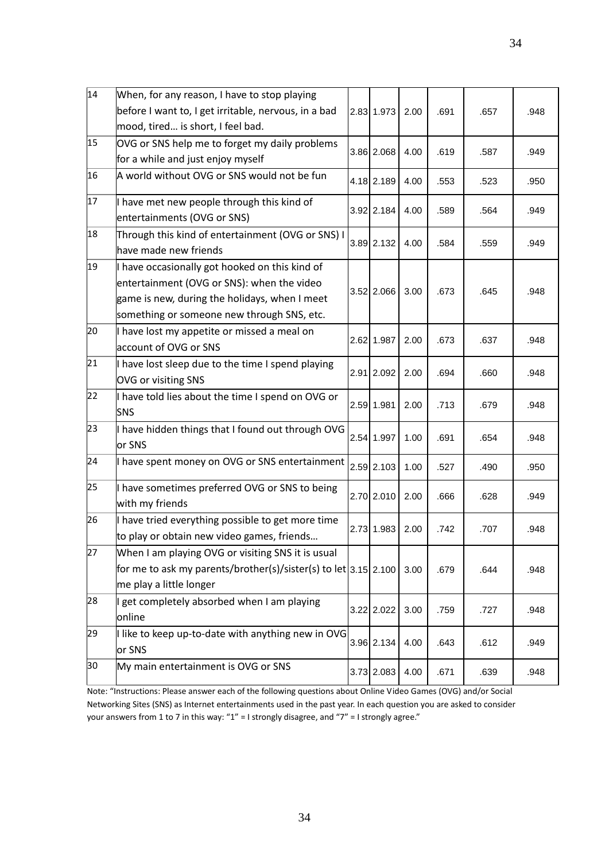| 14 | When, for any reason, I have to stop playing                      |              |      |      |      |      |
|----|-------------------------------------------------------------------|--------------|------|------|------|------|
|    | before I want to, I get irritable, nervous, in a bad              | 2.83 1.973   | 2.00 | .691 | .657 | .948 |
|    | mood, tired is short, I feel bad.                                 |              |      |      |      |      |
| 15 | OVG or SNS help me to forget my daily problems                    | 3.86 2.068   | 4.00 | .619 | .587 | .949 |
|    | for a while and just enjoy myself                                 |              |      |      |      |      |
| 16 | A world without OVG or SNS would not be fun                       | 4.18 2.189   | 4.00 | .553 | .523 | .950 |
| 17 | I have met new people through this kind of                        | 3.92 2.184   | 4.00 | .589 | .564 | .949 |
|    | entertainments (OVG or SNS)                                       |              |      |      |      |      |
| 18 | Through this kind of entertainment (OVG or SNS) I                 | 3.89 2.132   | 4.00 | .584 | .559 | .949 |
|    | have made new friends                                             |              |      |      |      |      |
| 19 | have occasionally got hooked on this kind of                      |              |      |      |      |      |
|    | entertainment (OVG or SNS): when the video                        | $3.52$ 2.066 | 3.00 | .673 | .645 | .948 |
|    | game is new, during the holidays, when I meet                     |              |      |      |      |      |
|    | something or someone new through SNS, etc.                        |              |      |      |      |      |
| 20 | have lost my appetite or missed a meal on                         | 2.62 1.987   | 2.00 | .673 | .637 | .948 |
|    | account of OVG or SNS                                             |              |      |      |      |      |
| 21 | I have lost sleep due to the time I spend playing                 | 2.91 2.092   | 2.00 | .694 | .660 | .948 |
|    | OVG or visiting SNS                                               |              |      |      |      |      |
| 22 | I have told lies about the time I spend on OVG or                 | 2.59 1.981   | 2.00 | .713 | .679 | .948 |
|    | <b>SNS</b>                                                        |              |      |      |      |      |
| 23 | have hidden things that I found out through OVG                   | 2.54 1.997   | 1.00 | .691 | .654 | .948 |
|    | or SNS                                                            |              |      |      |      |      |
| 24 | I have spent money on OVG or SNS entertainment                    | 2.59 2.103   | 1.00 | .527 | .490 | .950 |
| 25 | have sometimes preferred OVG or SNS to being                      | 2.70 2.010   | 2.00 | .666 | .628 | .949 |
|    | with my friends                                                   |              |      |      |      |      |
| 26 | have tried everything possible to get more time                   | 2.73 1.983   | 2.00 | .742 | .707 | .948 |
|    | to play or obtain new video games, friends                        |              |      |      |      |      |
| 27 | When I am playing OVG or visiting SNS it is usual                 |              |      |      |      |      |
|    | for me to ask my parents/brother(s)/sister(s) to let $3.15$ 2.100 |              | 3.00 | .679 | .644 | .948 |
|    | me play a little longer                                           |              |      |      |      |      |
| 28 | get completely absorbed when I am playing                         | 3.22 2.022   | 3.00 | .759 | .727 | .948 |
|    | online                                                            |              |      |      |      |      |
| 29 | I like to keep up-to-date with anything new in OVG                | 3.96 2.134   | 4.00 | .643 | .612 | .949 |
|    | or SNS                                                            |              |      |      |      |      |
| 30 | My main entertainment is OVG or SNS                               | 3.73 2.083   | 4.00 | .671 | .639 | .948 |

Note: "Instructions: Please answer each of the following questions about Online Video Games (OVG) and/or Social Networking Sites (SNS) as Internet entertainments used in the past year. In each question you are asked to consider your answers from 1 to 7 in this way: "1" = I strongly disagree, and "7" = I strongly agree."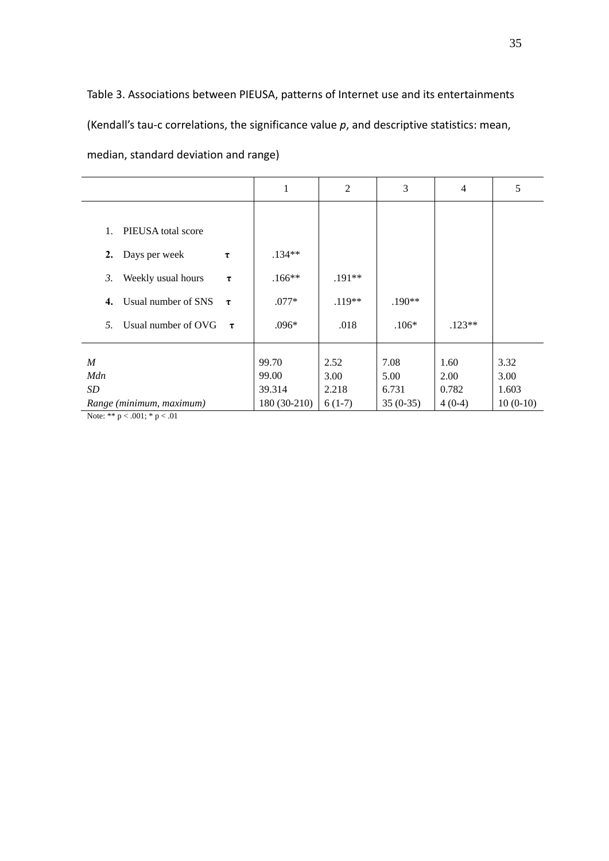Table 3. Associations between PIEUSA, patterns of Internet use and its entertainments (Kendall's tau‐c correlations, the significance value *p*, and descriptive statistics: mean, median, standard deviation and range)

|                                     | 1            | $\overline{2}$ | 3          | $\overline{4}$ | 5          |
|-------------------------------------|--------------|----------------|------------|----------------|------------|
|                                     |              |                |            |                |            |
| 1.<br>PIEUSA total score            |              |                |            |                |            |
| Days per week<br>2.<br>τ            | $.134**$     |                |            |                |            |
| Weekly usual hours<br>3.<br>$\tau$  | $.166**$     | $.191**$       |            |                |            |
| Usual number of SNS<br>4.<br>$\tau$ | $.077*$      | $.119**$       | $.190**$   |                |            |
| Usual number of OVG<br>5.<br>$\tau$ | $.096*$      | .018           | $.106*$    | $.123**$       |            |
|                                     |              |                |            |                |            |
| $\boldsymbol{M}$                    | 99.70        | 2.52           | 7.08       | 1.60           | 3.32       |
| Mdn                                 | 99.00        | 3.00           | 5.00       | 2.00           | 3.00       |
| <i>SD</i>                           | 39.314       | 2.218          | 6.731      | 0.782          | 1.603      |
| Range (minimum, maximum)            | 180 (30-210) | $6(1-7)$       | $35(0-35)$ | $4(0-4)$       | $10(0-10)$ |
| Note: ** $p < .001$ ; * $p < .01$   |              |                |            |                |            |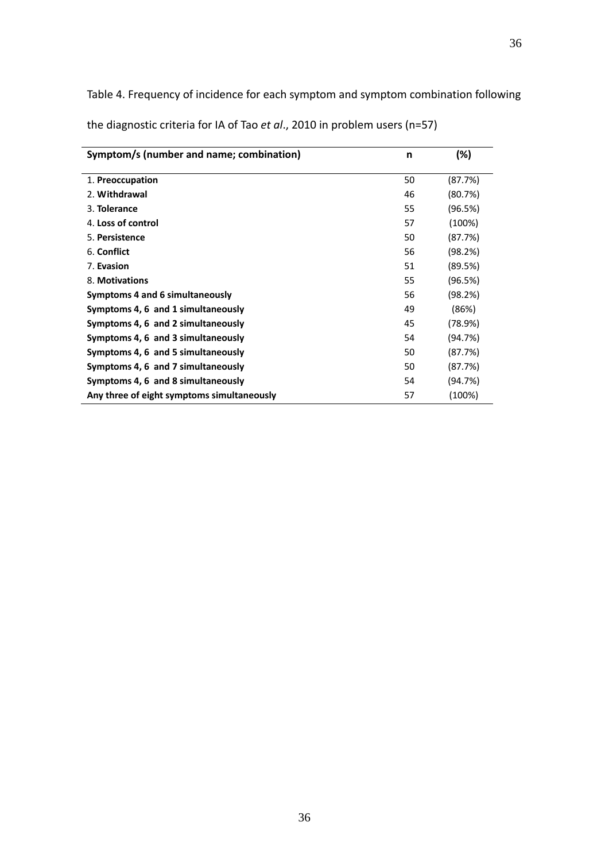Table 4. Frequency of incidence for each symptom and symptom combination following the diagnostic criteria for IA of Tao *et al*., 2010 in problem users (n=57)

| Symptom/s (number and name; combination)   | n  | (%)     |
|--------------------------------------------|----|---------|
| 1. Preoccupation                           | 50 | (87.7%) |
| 2. Withdrawal                              | 46 | (80.7%) |
| 3. Tolerance                               | 55 | (96.5%) |
| 4. Loss of control                         | 57 | (100%)  |
| 5. Persistence                             | 50 | (87.7%) |
| 6. Conflict                                | 56 | (98.2%) |
| 7. Evasion                                 | 51 | (89.5%) |
| 8. Motivations                             | 55 | (96.5%) |
| Symptoms 4 and 6 simultaneously            | 56 | (98.2%) |
| Symptoms 4, 6 and 1 simultaneously         | 49 | (86%)   |
| Symptoms 4, 6 and 2 simultaneously         | 45 | (78.9%) |
| Symptoms 4, 6 and 3 simultaneously         | 54 | (94.7%) |
| Symptoms 4, 6 and 5 simultaneously         | 50 | (87.7%) |
| Symptoms 4, 6 and 7 simultaneously         | 50 | (87.7%) |
| Symptoms 4, 6 and 8 simultaneously         | 54 | (94.7%) |
| Any three of eight symptoms simultaneously | 57 | (100%)  |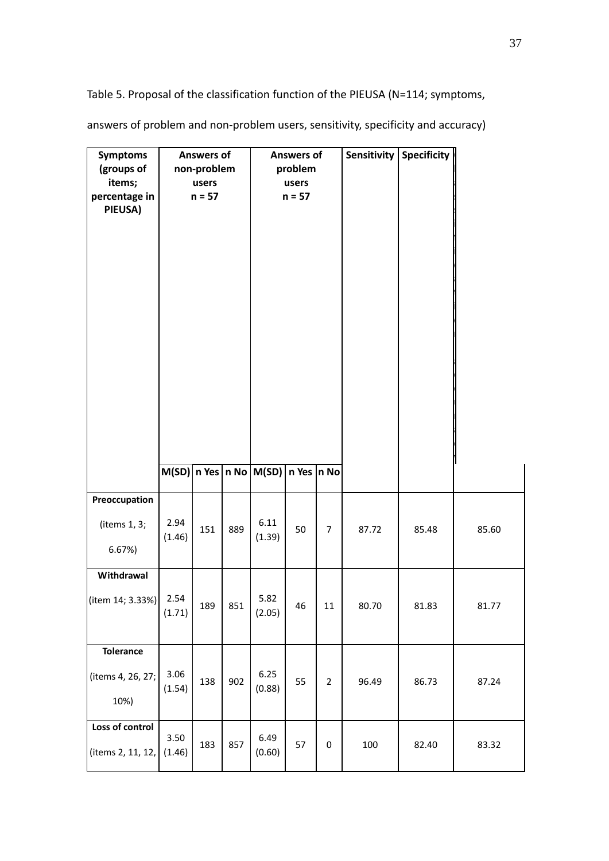Table 5. Proposal of the classification function of the PIEUSA (N=114; symptoms,

| <b>Symptoms</b><br>(groups of<br>items;<br>percentage in<br>PIEUSA) |                | <b>Answers of</b><br>non-problem<br>users<br>$n = 57$ |     | <b>Answers of</b><br>problem<br>users<br>$n = 57$ |    |                |       | Sensitivity   Specificity |       |
|---------------------------------------------------------------------|----------------|-------------------------------------------------------|-----|---------------------------------------------------|----|----------------|-------|---------------------------|-------|
|                                                                     |                |                                                       |     | $M(SD)$   n Yes   n No   M(SD)   n Yes   n No     |    |                |       |                           |       |
| Preoccupation<br>(items 1, 3;<br>6.67%                              | 2.94<br>(1.46) | 151                                                   | 889 | 6.11<br>(1.39)                                    | 50 | $\overline{7}$ | 87.72 | 85.48                     | 85.60 |
| Withdrawal<br>(item 14; 3.33%)                                      | 2.54<br>(1.71) | 189                                                   | 851 | 5.82<br>(2.05)                                    | 46 | 11             | 80.70 | 81.83                     | 81.77 |
| <b>Tolerance</b><br>(items 4, 26, 27;<br>10%)                       | 3.06<br>(1.54) | 138                                                   | 902 | 6.25<br>(0.88)                                    | 55 | $\overline{2}$ | 96.49 | 86.73                     | 87.24 |
| Loss of control<br>(items 2, 11, 12,                                | 3.50<br>(1.46) | 183                                                   | 857 | 6.49<br>(0.60)                                    | 57 | 0              | 100   | 82.40                     | 83.32 |

answers of problem and non‐problem users, sensitivity, specificity and accuracy)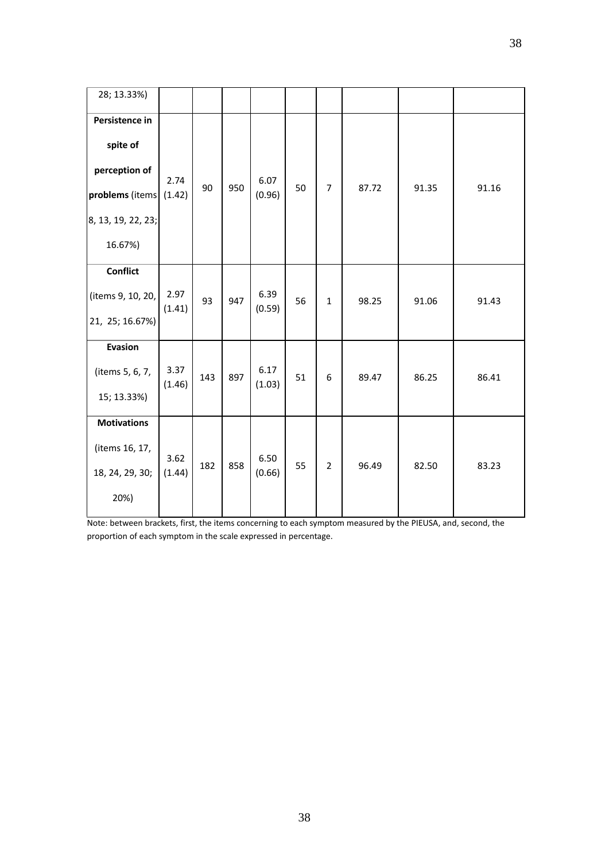| 28; 13.33%)                                                                                     |                |     |     |                |    |                |       |       |       |
|-------------------------------------------------------------------------------------------------|----------------|-----|-----|----------------|----|----------------|-------|-------|-------|
| Persistence in<br>spite of<br>perception of<br>problems (items<br>8, 13, 19, 22, 23;<br>16.67%) | 2.74<br>(1.42) | 90  | 950 | 6.07<br>(0.96) | 50 | $\overline{7}$ | 87.72 | 91.35 | 91.16 |
| <b>Conflict</b><br>(items 9, 10, 20,<br>21, 25; 16.67%)                                         | 2.97<br>(1.41) | 93  | 947 | 6.39<br>(0.59) | 56 | $\mathbf{1}$   | 98.25 | 91.06 | 91.43 |
| Evasion<br>(items 5, 6, 7,<br>15; 13.33%)                                                       | 3.37<br>(1.46) | 143 | 897 | 6.17<br>(1.03) | 51 | 6              | 89.47 | 86.25 | 86.41 |
| <b>Motivations</b><br>(items 16, 17,<br>18, 24, 29, 30;<br>20%)                                 | 3.62<br>(1.44) | 182 | 858 | 6.50<br>(0.66) | 55 | $\overline{2}$ | 96.49 | 82.50 | 83.23 |

Note: between brackets, first, the items concerning to each symptom measured by the PIEUSA, and, second, the proportion of each symptom in the scale expressed in percentage.